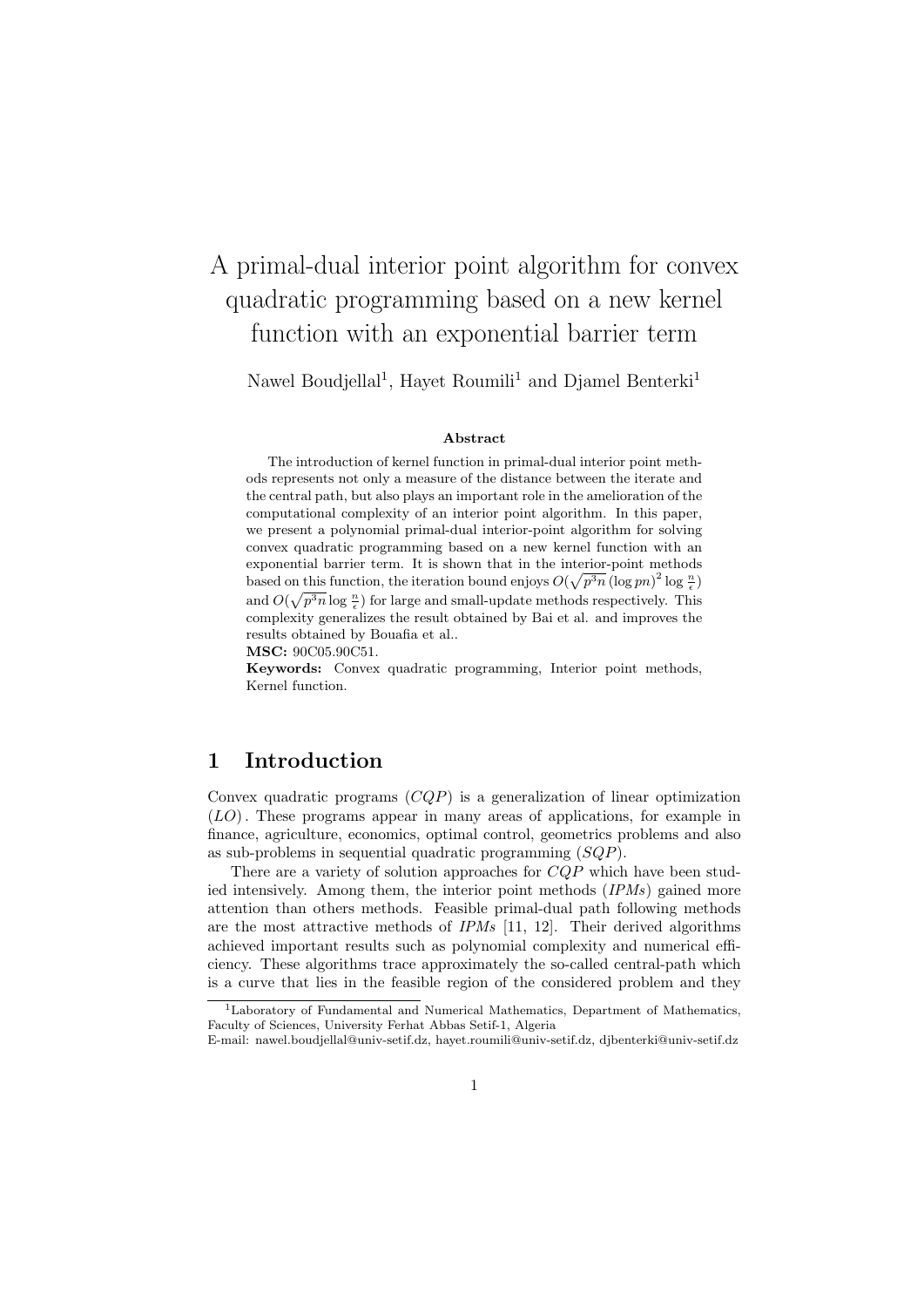# A primal-dual interior point algorithm for convex quadratic programming based on a new kernel function with an exponential barrier term

Nawel Boudjellal<sup>1</sup>, Hayet Roumili<sup>1</sup> and Djamel Benterki<sup>1</sup>

#### Abstract

The introduction of kernel function in primal-dual interior point methods represents not only a measure of the distance between the iterate and the central path, but also plays an important role in the amelioration of the computational complexity of an interior point algorithm. In this paper, we present a polynomial primal-dual interior-point algorithm for solving convex quadratic programming based on a new kernel function with an exponential barrier term. It is shown that in the interior-point methods based on this function, the iteration bound enjoys  $O(\sqrt{p^3n} (\log pn)^2 \log \frac{n}{\epsilon})$ and  $O(\sqrt{p^3n} \log \frac{n}{\epsilon})$  for large and small-update methods respectively. This complexity generalizes the result obtained by Bai et al. and improves the results obtained by Bouafia et al..

MSC: 90C05.90C51.

Keywords: Convex quadratic programming, Interior point methods, Kernel function.

# 1 Introduction

Convex quadratic programs  $(COP)$  is a generalization of linear optimization (LO). These programs appear in many areas of applications, for example in finance, agriculture, economics, optimal control, geometrics problems and also as sub-problems in sequential quadratic programming (SQP).

There are a variety of solution approaches for CQP which have been studied intensively. Among them, the interior point methods (IPMs) gained more attention than others methods. Feasible primal-dual path following methods are the most attractive methods of  $IPMs$  [11, 12]. Their derived algorithms achieved important results such as polynomial complexity and numerical efficiency. These algorithms trace approximately the so-called central-path which is a curve that lies in the feasible region of the considered problem and they

<sup>&</sup>lt;sup>1</sup>Laboratory of Fundamental and Numerical Mathematics, Department of Mathematics Faculty of Sciences, University Ferhat Abbas Setif-1, Algeria

E-mail: nawel.boudjellal@univ-setif.dz, hayet.roumili@univ-setif.dz, djbenterki@univ-setif.dz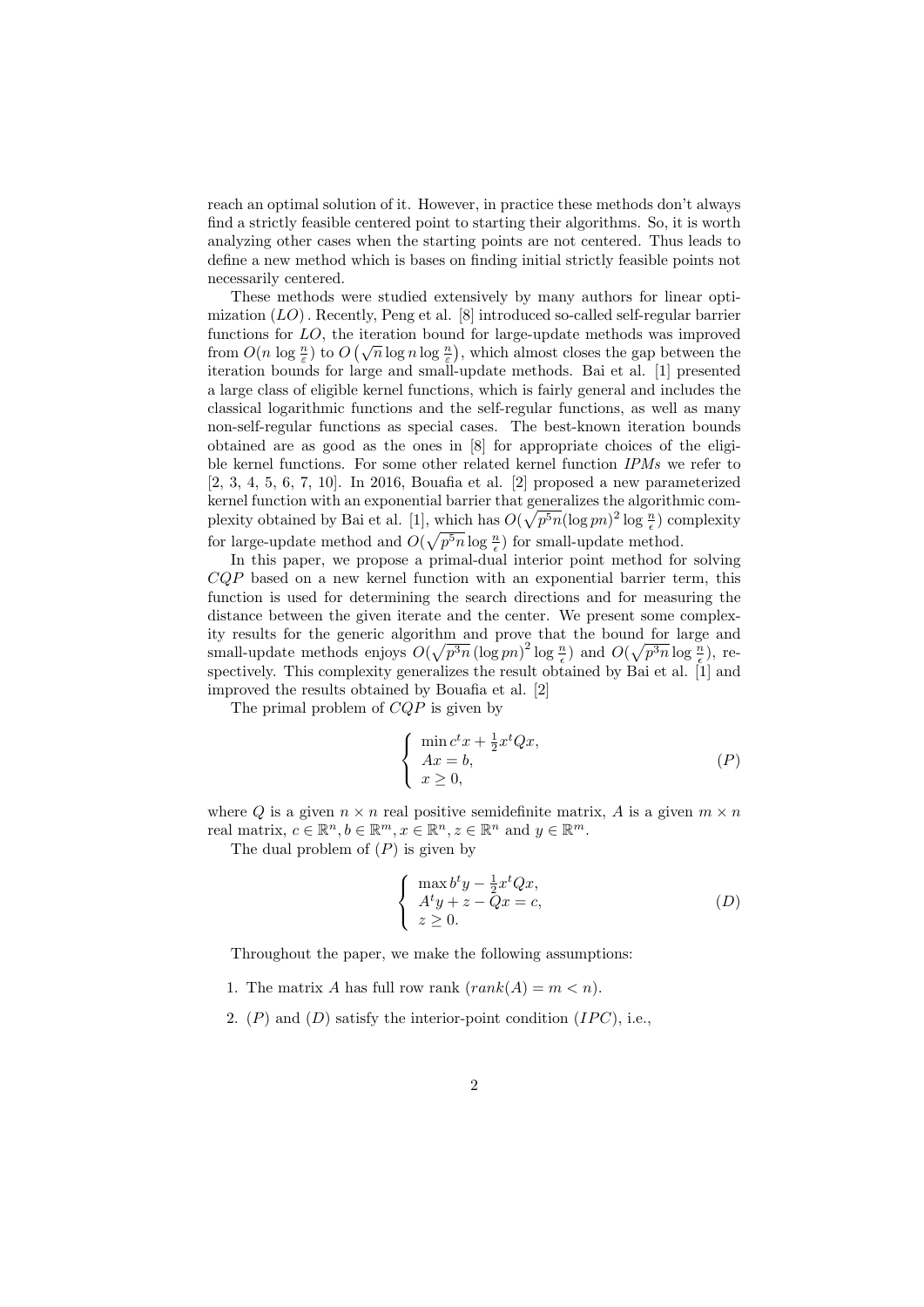reach an optimal solution of it. However, in practice these methods don't always find a strictly feasible centered point to starting their algorithms. So, it is worth analyzing other cases when the starting points are not centered. Thus leads to define a new method which is bases on finding initial strictly feasible points not necessarily centered.

These methods were studied extensively by many authors for linear optimization  $(LO)$ . Recently, Peng et al. [8] introduced so-called self-regular barrier functions for LO, the iteration bound for large-update methods was improved functions for *EO*, the heration bound for large-update methods was improved<br>from  $O(n \log \frac{n}{\varepsilon})$  to  $O(\sqrt{n} \log n \log \frac{n}{\varepsilon})$ , which almost closes the gap between the iteration bounds for large and small-update methods. Bai et al. [1] presented a large class of eligible kernel functions, which is fairly general and includes the classical logarithmic functions and the self-regular functions, as well as many non-self-regular functions as special cases. The best-known iteration bounds obtained are as good as the ones in [8] for appropriate choices of the eligible kernel functions. For some other related kernel function IPMs we refer to [2, 3, 4, 5, 6, 7, 10]. In 2016, Bouafia et al. [2] proposed a new parameterized kernel function with an exponential barrier that generalizes the algorithmic complexity obtained by Bai et al. [1], which has  $O(\sqrt{p^5n}(\log pn)^2 \log \frac{n}{\epsilon})$  complexity for large-update method and  $O(\sqrt{p^5n} \log \frac{n}{\epsilon})$  for small-update method.

In this paper, we propose a primal-dual interior point method for solving  $CQP$  based on a new kernel function with an exponential barrier term, this function is used for determining the search directions and for measuring the distance between the given iterate and the center. We present some complexity results for the generic algorithm and prove that the bound for large and small-update methods enjoys  $O(\sqrt{p^3n} (\log pn)^2 \log \frac{n}{\epsilon})$  and  $O(\sqrt{p^3n} \log \frac{n}{\epsilon})$ , respectively. This complexity generalizes the result obtained by Bai et al. [1] and improved the results obtained by Bouafia et al. [2]

The primal problem of  $CQP$  is given by

$$
\begin{cases}\n\min_{x} c^t x + \frac{1}{2} x^t Q x, \\
Ax = b, \\
x \ge 0,\n\end{cases} \tag{P}
$$

where Q is a given  $n \times n$  real positive semidefinite matrix, A is a given  $m \times n$ real matrix,  $c \in \mathbb{R}^n, b \in \mathbb{R}^m, x \in \mathbb{R}^n, z \in \mathbb{R}^n$  and  $y \in \mathbb{R}^m$ .

The dual problem of  $(P)$  is given by

$$
\begin{cases}\n\max b^t y - \frac{1}{2} x^t Q x, \\
A^t y + z - Q x = c, \\
z \ge 0.\n\end{cases}
$$
\n(D)

Throughout the paper, we make the following assumptions:

- 1. The matrix A has full row rank  $(rank(A) = m < n)$ .
- 2.  $(P)$  and  $(D)$  satisfy the interior-point condition  $(IPC)$ , i.e.,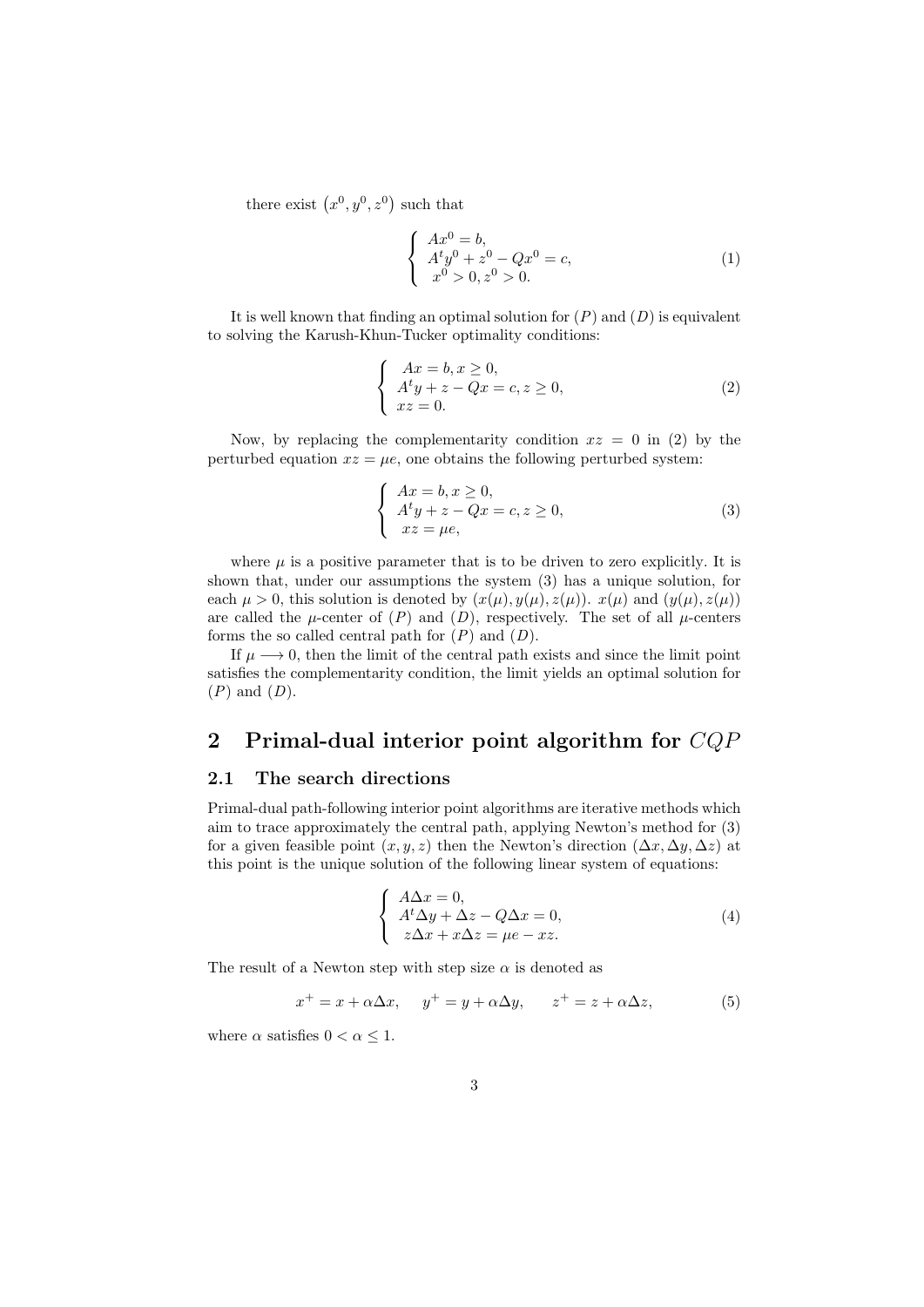there exist  $(x^0, y^0, z^0)$  such that

$$
\begin{cases}\nAx^0 = b, \\
A^t y^0 + z^0 - Qx^0 = c, \\
x^0 > 0, z^0 > 0.\n\end{cases}
$$
\n(1)

It is well known that finding an optimal solution for  $(P)$  and  $(D)$  is equivalent to solving the Karush-Khun-Tucker optimality conditions:

$$
\begin{cases}\nAx = b, x \ge 0, \\
A^t y + z - Qx = c, z \ge 0, \\
xz = 0.\n\end{cases}
$$
\n(2)

Now, by replacing the complementarity condition  $xz = 0$  in (2) by the perturbed equation  $xz = \mu e$ , one obtains the following perturbed system:

$$
\begin{cases}\nAx = b, x \ge 0, \\
A^t y + z - Qx = c, z \ge 0, \\
xz = \mu e,\n\end{cases}
$$
\n(3)

where  $\mu$  is a positive parameter that is to be driven to zero explicitly. It is shown that, under our assumptions the system (3) has a unique solution, for each  $\mu > 0$ , this solution is denoted by  $(x(\mu), y(\mu), z(\mu))$ .  $x(\mu)$  and  $(y(\mu), z(\mu))$ are called the  $\mu$ -center of  $(P)$  and  $(D)$ , respectively. The set of all  $\mu$ -centers forms the so called central path for  $(P)$  and  $(D)$ .

If  $\mu \longrightarrow 0$ , then the limit of the central path exists and since the limit point satisfies the complementarity condition, the limit yields an optimal solution for  $(P)$  and  $(D)$ .

# 2 Primal-dual interior point algorithm for CQP

#### 2.1 The search directions

Primal-dual path-following interior point algorithms are iterative methods which aim to trace approximately the central path, applying Newton's method for (3) for a given feasible point  $(x, y, z)$  then the Newton's direction  $(\Delta x, \Delta y, \Delta z)$  at this point is the unique solution of the following linear system of equations:

$$
\begin{cases}\nA\Delta x = 0, \\
A^t \Delta y + \Delta z - Q\Delta x = 0, \\
z\Delta x + x\Delta z = \mu e - xz.\n\end{cases}
$$
\n(4)

The result of a Newton step with step size  $\alpha$  is denoted as

$$
x^{+} = x + \alpha \Delta x, \quad y^{+} = y + \alpha \Delta y, \quad z^{+} = z + \alpha \Delta z,
$$
 (5)

where  $\alpha$  satisfies  $0 < \alpha \leq 1$ .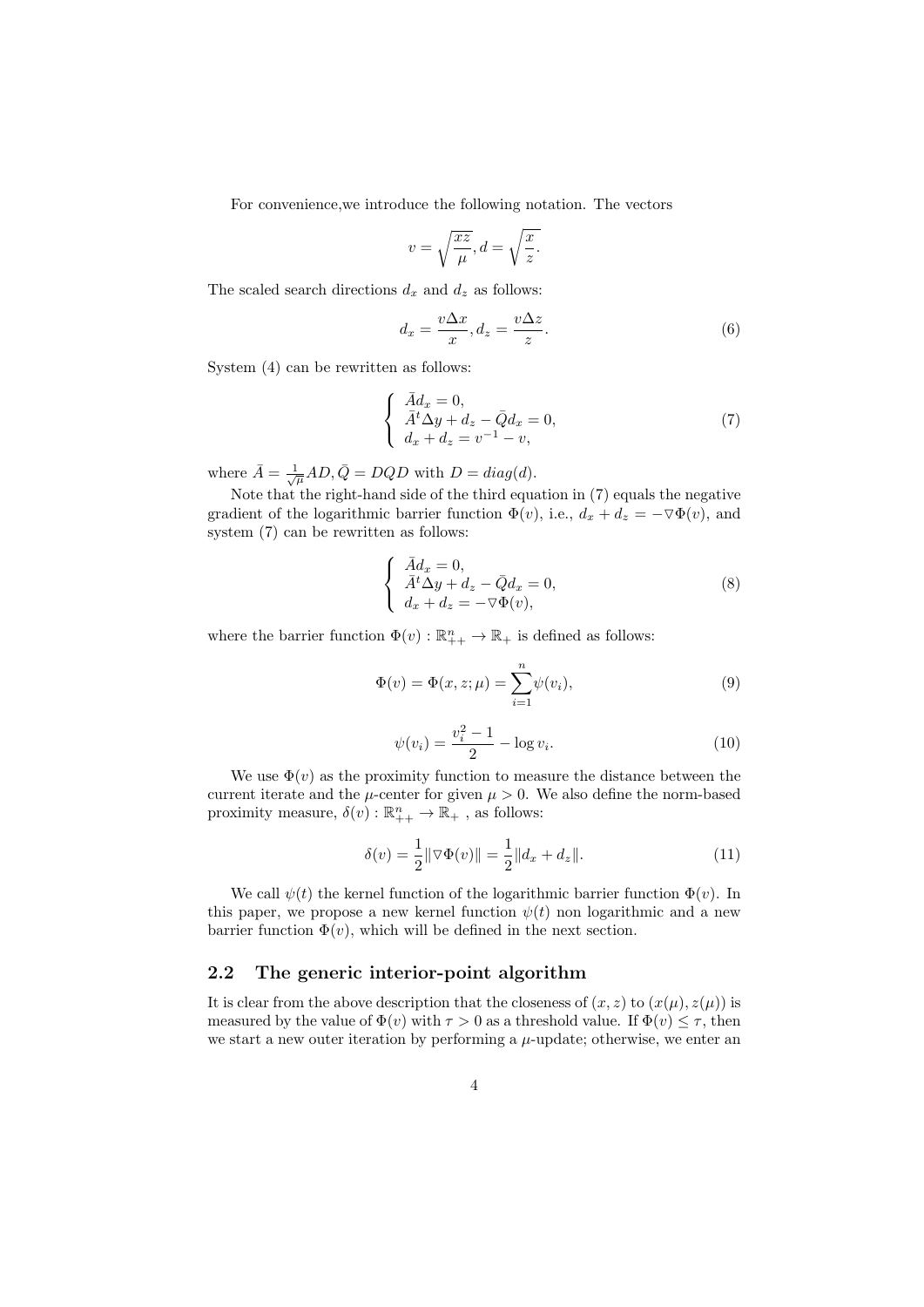For convenience,we introduce the following notation. The vectors

$$
v = \sqrt{\frac{xz}{\mu}}, d = \sqrt{\frac{x}{z}}.
$$

The scaled search directions  $d_x$  and  $d_z$  as follows:

$$
d_x = \frac{v\Delta x}{x}, d_z = \frac{v\Delta z}{z}.
$$
\n(6)

System (4) can be rewritten as follows:

$$
\begin{cases}\n\bar{A}d_x = 0, \\
\bar{A}^t \Delta y + d_z - \bar{Q}d_x = 0, \\
d_x + d_z = v^{-1} - v,\n\end{cases}
$$
\n(7)

where  $\bar{A} = \frac{1}{\sqrt{\mu}}AD, \bar{Q} = DQD$  with  $D = diag(d)$ .

Note that the right-hand side of the third equation in (7) equals the negative gradient of the logarithmic barrier function  $\Phi(v)$ , i.e.,  $d_x + d_z = -\nabla \Phi(v)$ , and system (7) can be rewritten as follows:

$$
\begin{cases}\n\bar{A}d_x = 0, \\
\bar{A}^t \Delta y + d_z - \bar{Q}d_x = 0, \\
d_x + d_z = -\nabla \Phi(v),\n\end{cases}
$$
\n(8)

where the barrier function  $\Phi(v) : \mathbb{R}_{++}^n \to \mathbb{R}_+$  is defined as follows:

$$
\Phi(v) = \Phi(x, z; \mu) = \sum_{i=1}^{n} \psi(v_i),
$$
\n(9)

$$
\psi(v_i) = \frac{v_i^2 - 1}{2} - \log v_i.
$$
\n(10)

We use  $\Phi(v)$  as the proximity function to measure the distance between the current iterate and the  $\mu$ -center for given  $\mu > 0$ . We also define the norm-based proximity measure,  $\delta(v) : \mathbb{R}_{++}^n \to \mathbb{R}_{+}$ , as follows:

$$
\delta(v) = \frac{1}{2} \|\nabla \Phi(v)\| = \frac{1}{2} \|d_x + d_z\|.
$$
 (11)

We call  $\psi(t)$  the kernel function of the logarithmic barrier function  $\Phi(v)$ . In this paper, we propose a new kernel function  $\psi(t)$  non logarithmic and a new barrier function  $\Phi(v)$ , which will be defined in the next section.

#### 2.2 The generic interior-point algorithm

It is clear from the above description that the closeness of  $(x, z)$  to  $(x(\mu), z(\mu))$  is measured by the value of  $\Phi(v)$  with  $\tau > 0$  as a threshold value. If  $\Phi(v) \leq \tau$ , then we start a new outer iteration by performing a  $\mu$ -update; otherwise, we enter an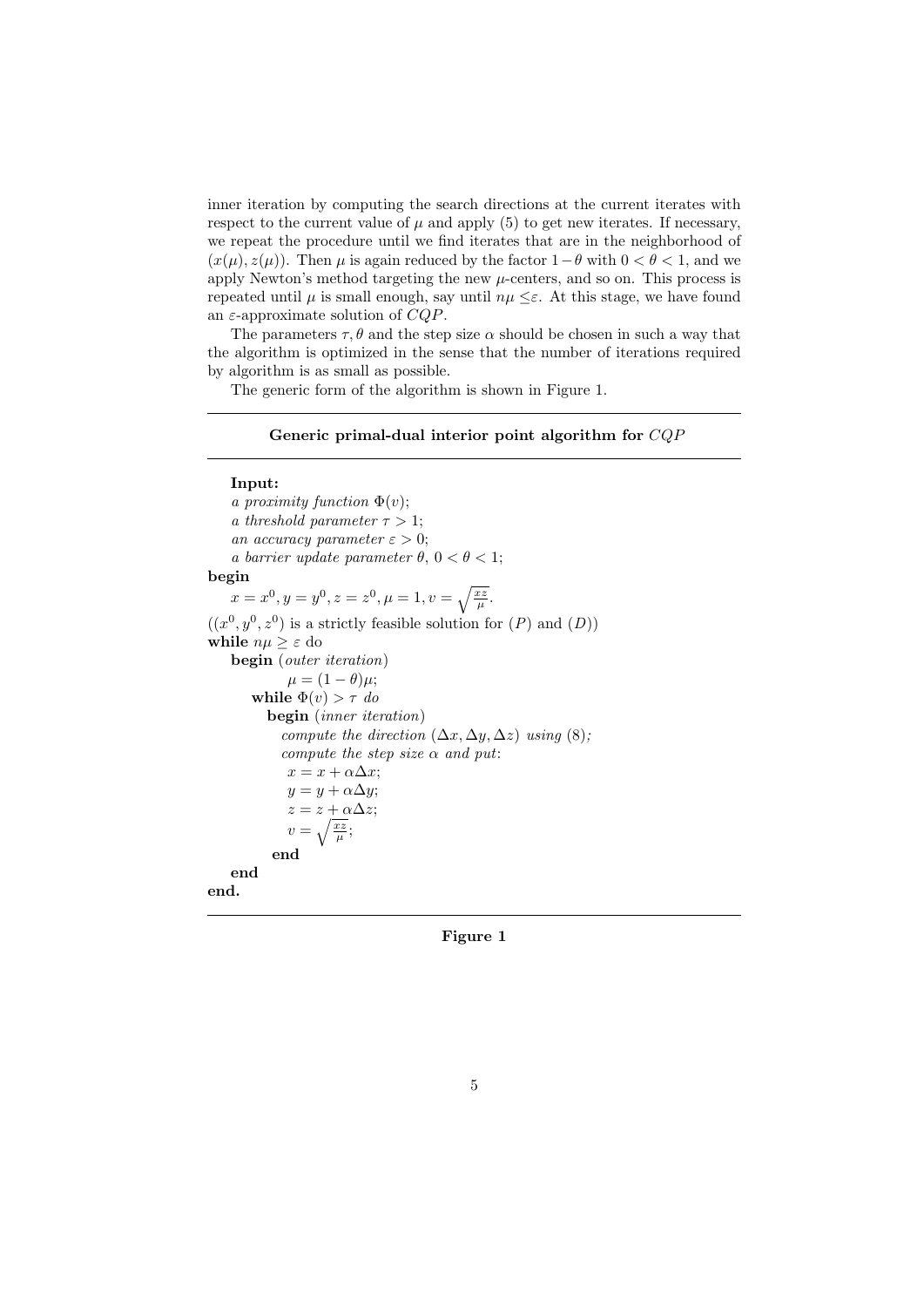inner iteration by computing the search directions at the current iterates with respect to the current value of  $\mu$  and apply (5) to get new iterates. If necessary, we repeat the procedure until we find iterates that are in the neighborhood of  $(x(\mu), z(\mu))$ . Then  $\mu$  is again reduced by the factor  $1-\theta$  with  $0 < \theta < 1$ , and we apply Newton's method targeting the new  $\mu$ -centers, and so on. This process is repeated until  $\mu$  is small enough, say until  $n\mu \leq \varepsilon$ . At this stage, we have found an  $\varepsilon$ -approximate solution of  $CQP$ .

The parameters  $\tau$ ,  $\theta$  and the step size  $\alpha$  should be chosen in such a way that the algorithm is optimized in the sense that the number of iterations required by algorithm is as small as possible.

The generic form of the algorithm is shown in Figure 1.

#### Generic primal-dual interior point algorithm for CQP

Input: a proximity function  $\Phi(v)$ ; a threshold parameter  $\tau > 1$ ; an accuracy parameter  $\varepsilon > 0$ ; a barrier update parameter  $\theta$ ,  $0 < \theta < 1$ ; begin  $x = x^0, y = y^0, z = z^0, \mu = 1, v = \sqrt{\frac{xz}{\mu}}.$  $((x^0, y^0, z^0)$  is a strictly feasible solution for  $(P)$  and  $(D)$ ) while  $n\mu \geq \varepsilon$  do begin (outer iteration)  $\mu = (1 - \theta)\mu;$ while  $\Phi(v) > \tau$  do begin (inner iteration) compute the direction  $(\Delta x, \Delta y, \Delta z)$  using  $(8)$ ; compute the step size  $\alpha$  and put:  $x = x + \alpha \Delta x;$  $y = y + \alpha \Delta y;$  $z = z + \alpha \Delta z;$  $v=\sqrt{\frac{xz}{\mu}};$ end end end.

Figure 1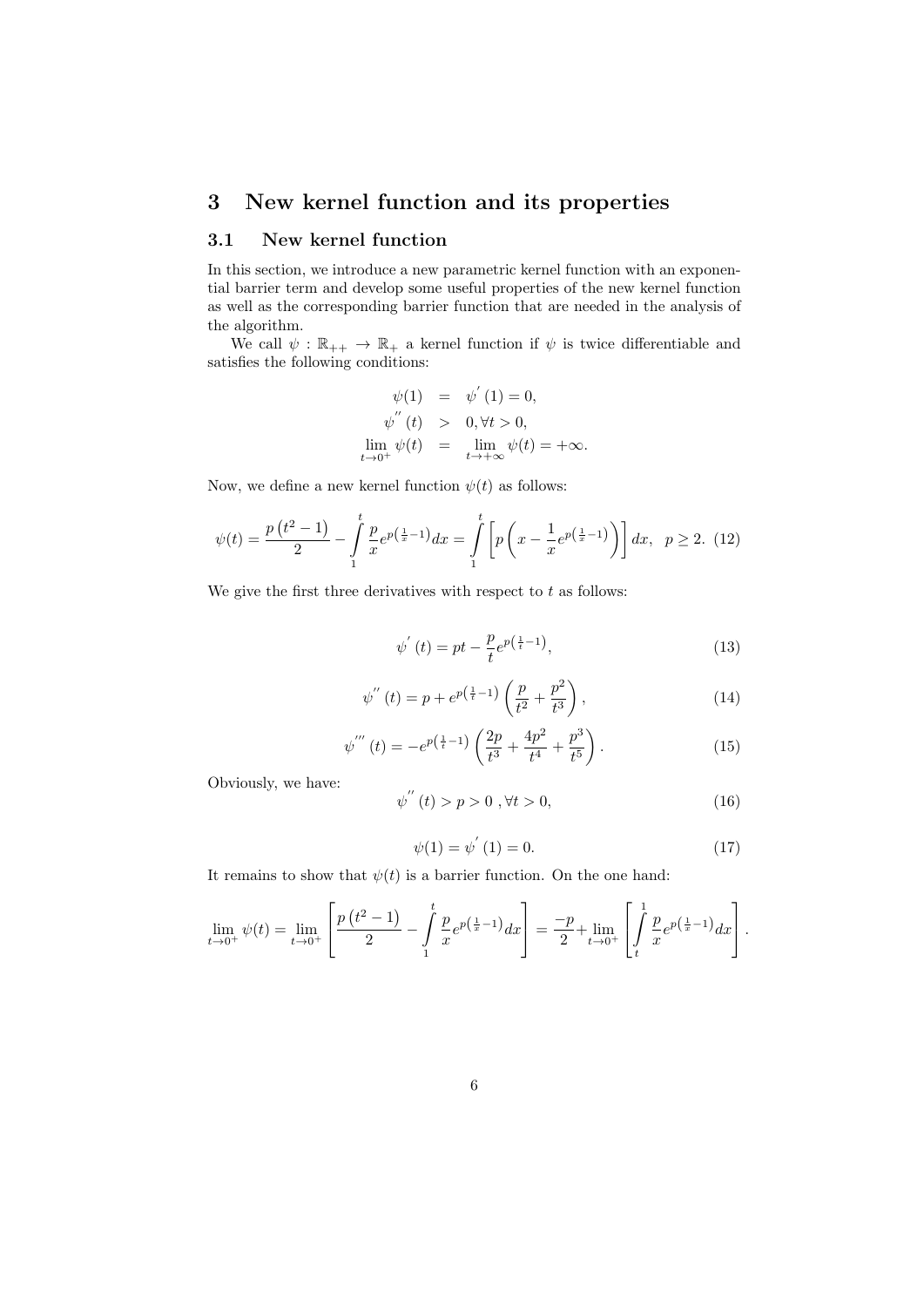# 3 New kernel function and its properties

## 3.1 New kernel function

In this section, we introduce a new parametric kernel function with an exponential barrier term and develop some useful properties of the new kernel function as well as the corresponding barrier function that are needed in the analysis of the algorithm.

We call  $\psi : \mathbb{R}_{++} \to \mathbb{R}_{+}$  a kernel function if  $\psi$  is twice differentiable and satisfies the following conditions:

$$
\psi(1) = \psi'(1) = 0,
$$
  
\n
$$
\psi''(t) > 0, \forall t > 0,
$$
  
\n
$$
\lim_{t \to 0^+} \psi(t) = \lim_{t \to +\infty} \psi(t) = +\infty.
$$

Now, we define a new kernel function  $\psi(t)$  as follows:

$$
\psi(t) = \frac{p(t^2 - 1)}{2} - \int_{1}^{t} \frac{p}{x} e^{p(\frac{1}{x} - 1)} dx = \int_{1}^{t} \left[ p\left(x - \frac{1}{x} e^{p(\frac{1}{x} - 1)}\right) \right] dx, \quad p \ge 2. \tag{12}
$$

We give the first three derivatives with respect to  $t$  as follows:

$$
\psi'(t) = pt - \frac{p}{t} e^{p(\frac{1}{t} - 1)},\tag{13}
$$

$$
\psi''(t) = p + e^{p(\frac{1}{t}-1)} \left( \frac{p}{t^2} + \frac{p^2}{t^3} \right),\tag{14}
$$

$$
\psi'''(t) = -e^{p(\frac{1}{t}-1)} \left( \frac{2p}{t^3} + \frac{4p^2}{t^4} + \frac{p^3}{t^5} \right). \tag{15}
$$

Obviously, we have:

$$
\psi^{''}(t) > p > 0 \text{ , } \forall t > 0,
$$
\n(16)

$$
\psi(1) = \psi^{'}(1) = 0.
$$
\n(17)

It remains to show that  $\psi(t)$  is a barrier function. On the one hand:

$$
\lim_{t \to 0^+} \psi(t) = \lim_{t \to 0^+} \left[ \frac{p(t^2 - 1)}{2} - \int_1^t \frac{p}{x} e^{p(\frac{1}{x} - 1)} dx \right] = \frac{-p}{2} + \lim_{t \to 0^+} \left[ \int_t^1 \frac{p}{x} e^{p(\frac{1}{x} - 1)} dx \right].
$$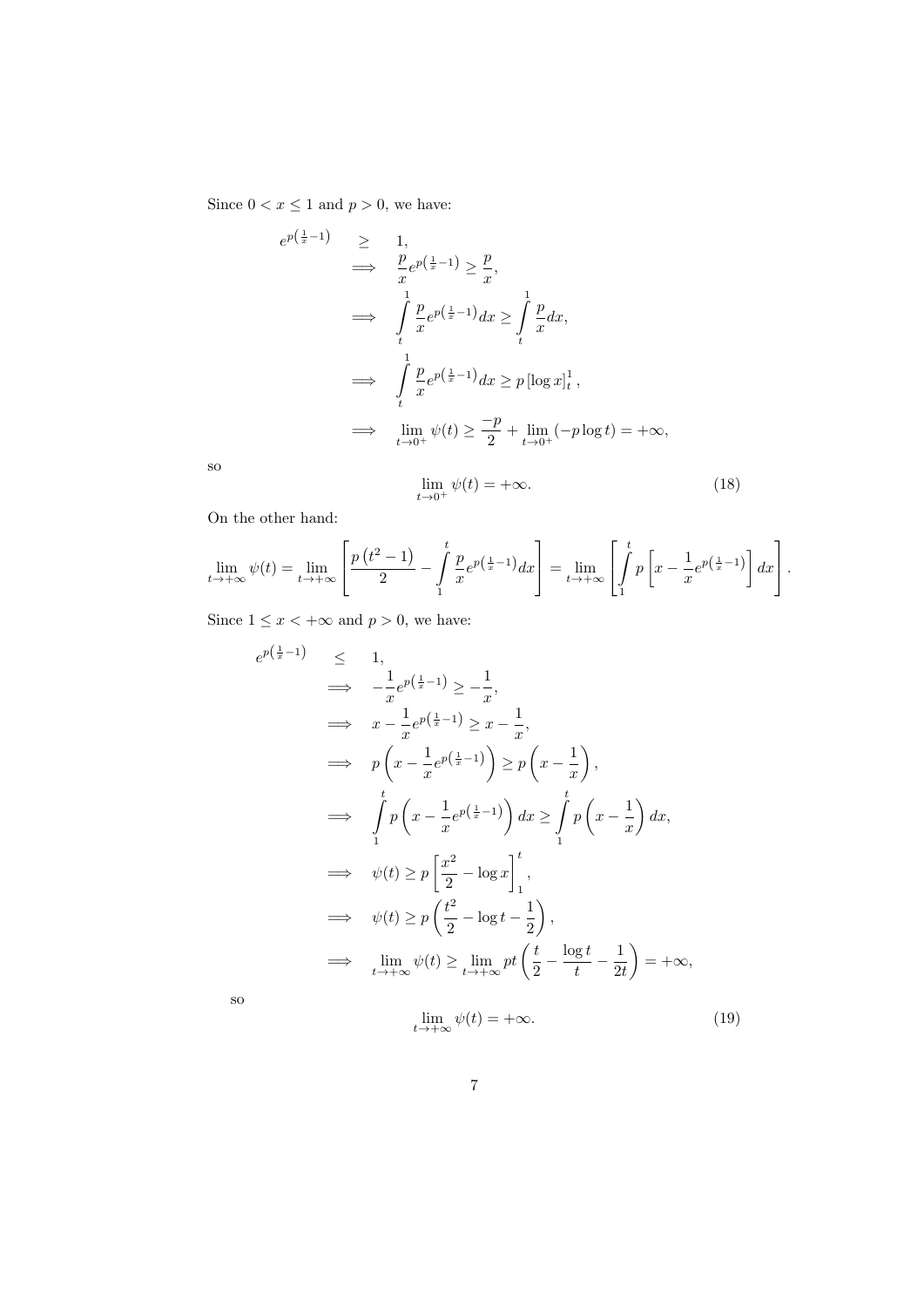Since  $0 < x \le 1$  and  $p > 0$ , we have:

$$
e^{p(\frac{1}{x}-1)} \geq 1,
$$
  
\n
$$
\implies \frac{p}{x}e^{p(\frac{1}{x}-1)} \geq \frac{p}{x},
$$
  
\n
$$
\implies \int_{t}^{1} \frac{p}{x}e^{p(\frac{1}{x}-1)}dx \geq \int_{t}^{1} \frac{p}{x}dx,
$$
  
\n
$$
\implies \int_{t}^{1} \frac{p}{x}e^{p(\frac{1}{x}-1)}dx \geq p[\log x]_{t}^{1},
$$
  
\n
$$
\implies \lim_{t \to 0^{+}} \psi(t) \geq \frac{-p}{2} + \lim_{t \to 0^{+}} (-p \log t) = +\infty,
$$

so

$$
\lim_{t \to 0^+} \psi(t) = +\infty. \tag{18}
$$

On the other hand:

$$
\lim_{t \to +\infty} \psi(t) = \lim_{t \to +\infty} \left[ \frac{p(t^2 - 1)}{2} - \int_1^t \frac{p}{x} e^{p(\frac{1}{x} - 1)} dx \right] = \lim_{t \to +\infty} \left[ \int_1^t p \left[ x - \frac{1}{x} e^{p(\frac{1}{x} - 1)} \right] dx \right].
$$

Since  $1 \leq x < +\infty$  and  $p > 0$ , we have:

$$
e^{p(\frac{1}{x}-1)} \leq 1,
$$
  
\n
$$
\implies -\frac{1}{x}e^{p(\frac{1}{x}-1)} \geq -\frac{1}{x},
$$
  
\n
$$
\implies p\left(x - \frac{1}{x}e^{p(\frac{1}{x}-1)}\right) \geq p\left(x - \frac{1}{x}\right),
$$
  
\n
$$
\implies \int_{1}^{t} p\left(x - \frac{1}{x}e^{p(\frac{1}{x}-1)}\right) dx \geq \int_{1}^{t} p\left(x - \frac{1}{x}\right) dx,
$$
  
\n
$$
\implies \psi(t) \geq p\left[\frac{x^2}{2} - \log x\right]_{1}^{t},
$$
  
\n
$$
\implies \psi(t) \geq p\left(\frac{t^2}{2} - \log t - \frac{1}{2}\right),
$$
  
\n
$$
\implies \lim_{t \to +\infty} \psi(t) \geq \lim_{t \to +\infty} pt\left(\frac{t}{2} - \frac{\log t}{t} - \frac{1}{2t}\right) = +\infty,
$$

so

$$
\lim_{t \to +\infty} \psi(t) = +\infty. \tag{19}
$$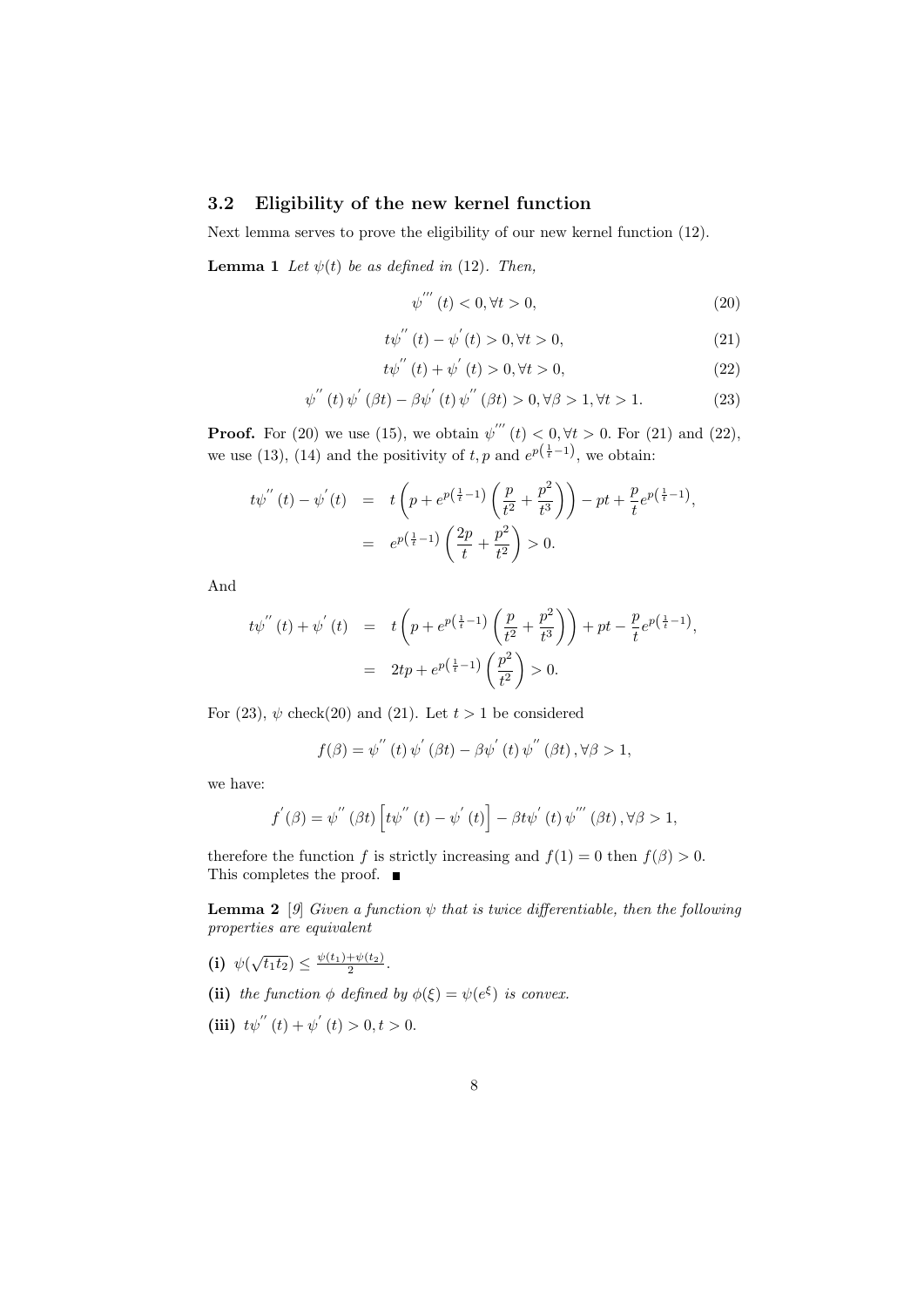### 3.2 Eligibility of the new kernel function

Next lemma serves to prove the eligibility of our new kernel function (12).

**Lemma 1** Let  $\psi(t)$  be as defined in (12). Then,

$$
\psi'''(t) < 0, \forall t > 0,\tag{20}
$$

$$
t\psi^{''}(t) - \psi^{'}(t) > 0, \forall t > 0,
$$
\n(21)

$$
t\psi^{''}(t) + \psi^{'}(t) > 0, \forall t > 0,
$$
\n(22)

$$
\psi^{''}(t)\psi^{'}(\beta t) - \beta\psi^{'}(t)\psi^{''}(\beta t) > 0, \forall \beta > 1, \forall t > 1.
$$
 (23)

**Proof.** For (20) we use (15), we obtain  $\psi'''(t) < 0, \forall t > 0$ . For (21) and (22), we use (13), (14) and the positivity of  $t, p$  and  $e^{p(\frac{1}{t}-1)}$ , we obtain:

$$
t\psi^{''}(t) - \psi^{'}(t) = t\left(p + e^{p(\frac{1}{t}-1)}\left(\frac{p}{t^{2}} + \frac{p^{2}}{t^{3}}\right)\right) - pt + \frac{p}{t}e^{p(\frac{1}{t}-1)},
$$
  
=  $e^{p(\frac{1}{t}-1)}\left(\frac{2p}{t} + \frac{p^{2}}{t^{2}}\right) > 0.$ 

And

$$
t\psi^{''}(t) + \psi^{'}(t) = t\left(p + e^{p(\frac{1}{t}-1)}\left(\frac{p}{t^{2}} + \frac{p^{2}}{t^{3}}\right)\right) + pt - \frac{p}{t}e^{p(\frac{1}{t}-1)},
$$
  
=  $2tp + e^{p(\frac{1}{t}-1)}\left(\frac{p^{2}}{t^{2}}\right) > 0.$ 

For (23),  $\psi$  check(20) and (21). Let  $t > 1$  be considered

$$
f(\beta) = \psi^{''}(t)\psi^{'}(\beta t) - \beta\psi^{'}(t)\psi^{''}(\beta t), \forall \beta > 1,
$$

we have:

$$
f^{'}(\beta) = \psi^{''}(\beta t) \left[ t\psi^{''}(t) - \psi^{'}(t) \right] - \beta t \psi^{'}(t) \psi^{'''}(\beta t), \forall \beta > 1,
$$

therefore the function f is strictly increasing and  $f(1) = 0$  then  $f(\beta) > 0$ . This completes the proof. ■

**Lemma 2** [9] Given a function  $\psi$  that is twice differentiable, then the following properties are equivalent

- (i)  $\psi(\sqrt{t_1 t_2}) \leq \frac{\psi(t_1) + \psi(t_2)}{2}$ .
- (ii) the function  $\phi$  defined by  $\phi(\xi) = \psi(e^{\xi})$  is convex.

(iii) 
$$
t\psi''(t) + \psi'(t) > 0, t > 0.
$$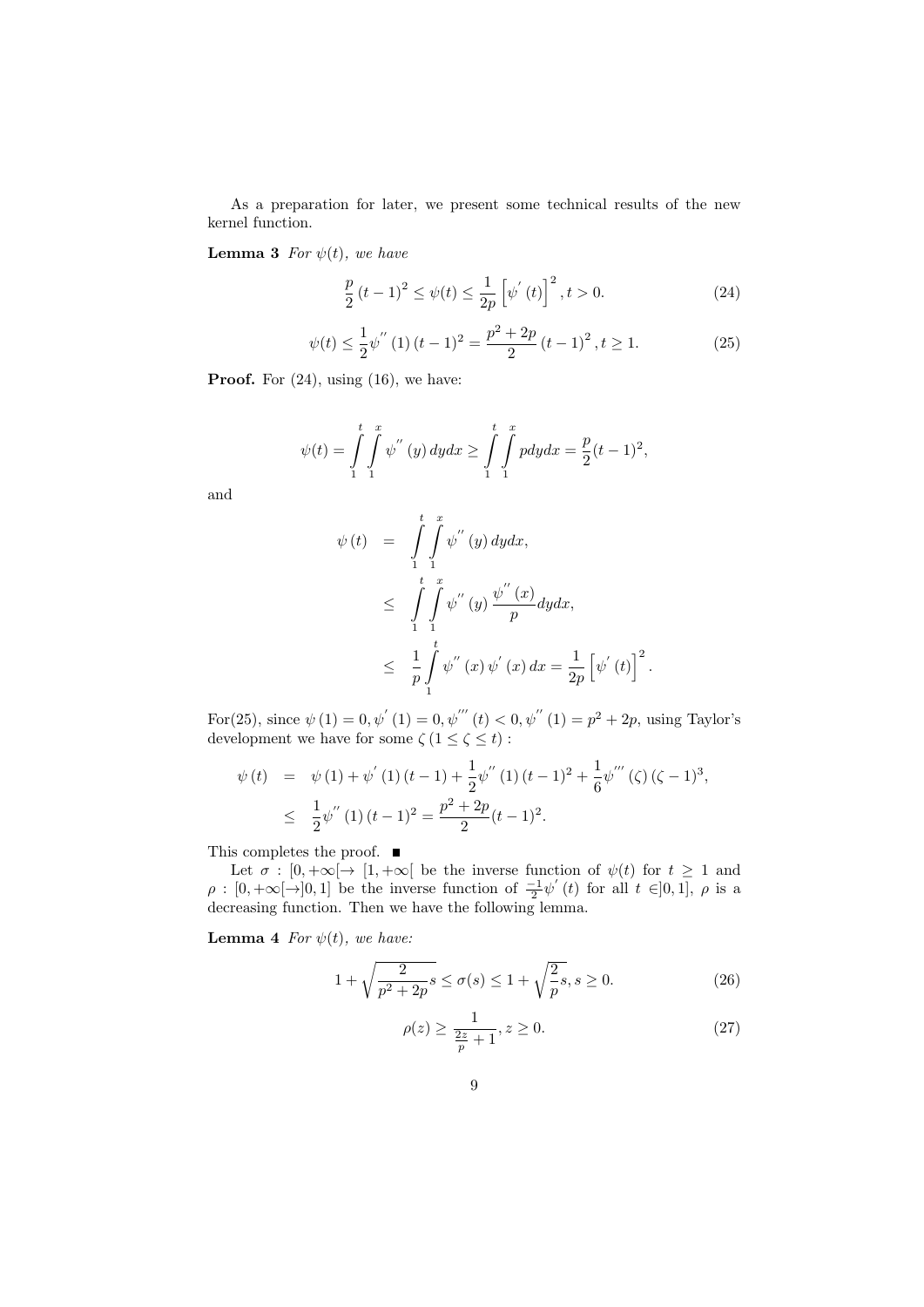As a preparation for later, we present some technical results of the new kernel function.

**Lemma 3** For  $\psi(t)$ , we have

$$
\frac{p}{2}(t-1)^2 \le \psi(t) \le \frac{1}{2p} \left[ \psi'(t) \right]^2, t > 0.
$$
 (24)

$$
\psi(t) \le \frac{1}{2}\psi''\left(1\right)(t-1)^2 = \frac{p^2 + 2p}{2}\left(t-1\right)^2, t \ge 1.
$$
\n(25)

**Proof.** For  $(24)$ , using  $(16)$ , we have:

$$
\psi(t) = \int_{1}^{t} \int_{1}^{x} \psi''(y) \, dy dx \ge \int_{1}^{t} \int_{1}^{x} p dy dx = \frac{p}{2}(t-1)^2,
$$

and

$$
\psi(t) = \int_{1}^{t} \int_{1}^{x} \psi''(y) dy dx,\n\leq \int_{1}^{t} \int_{1}^{x} \psi''(y) \frac{\psi''(x)}{p} dy dx,\n\leq \frac{1}{p} \int_{1}^{t} \psi''(x) \psi'(x) dx = \frac{1}{2p} [\psi^{'}(t)]^{2}
$$

For(25), since  $\psi(1) = 0, \psi'(1) = 0, \psi'''(t) < 0, \psi''(1) = p^2 + 2p$ , using Taylor's development we have for some  $\zeta(1 \leq \zeta \leq t)$ :

$$
\psi(t) = \psi(1) + \psi'(1)(t-1) + \frac{1}{2}\psi''(1)(t-1)^2 + \frac{1}{6}\psi'''(\zeta)(\zeta-1)^3,
$$
  

$$
\leq \frac{1}{2}\psi''(1)(t-1)^2 = \frac{p^2 + 2p}{2}(t-1)^2.
$$

This completes the proof.  $\blacksquare$ 

Let  $\sigma : [0, +\infty[ \rightarrow [1, +\infty[$  be the inverse function of  $\psi(t)$  for  $t \geq 1$  and  $\rho : [0, +\infty[ \to ]0, 1]$  be the inverse function of  $\frac{-1}{2} \psi'(t)$  for all  $t \in ]0, 1]$ ,  $\rho$  is a decreasing function. Then we have the following lemma.

**Lemma 4** For  $\psi(t)$ , we have:

$$
1 + \sqrt{\frac{2}{p^2 + 2p}s} \le \sigma(s) \le 1 + \sqrt{\frac{2}{p}s}, s \ge 0.
$$
 (26)

$$
\rho(z) \ge \frac{1}{\frac{2z}{p} + 1}, z \ge 0.
$$
\n<sup>(27)</sup>

.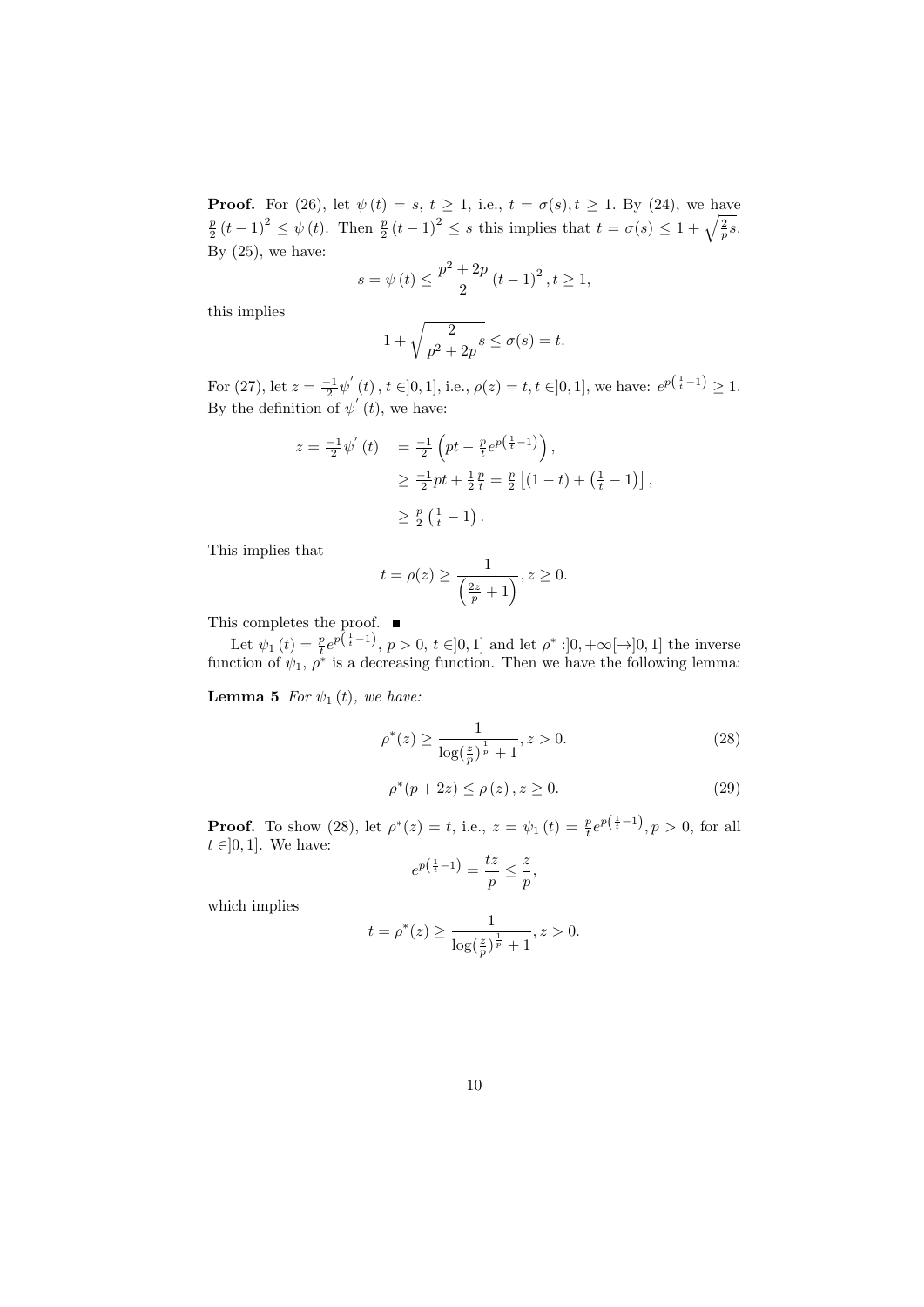**Proof.** For (26), let  $\psi(t) = s, t \ge 1$ , i.e.,  $t = \sigma(s), t \ge 1$ . By (24), we have  $\frac{p}{2}(t-1)^2 \leq \psi(t)$ . Then  $\frac{p}{2}(t-1)^2 \leq s$  this implies that  $t = \sigma(s) \leq 1 + \sqrt{\frac{2}{p}s}$ . By  $(25)$ , we have:

$$
s = \psi(t) \le \frac{p^2 + 2p}{2} (t - 1)^2, t \ge 1,
$$

this implies

$$
1 + \sqrt{\frac{2}{p^2 + 2p}s} \le \sigma(s) = t.
$$

For (27), let  $z = \frac{-1}{2} \psi'(t)$ ,  $t \in ]0,1]$ , i.e.,  $\rho(z) = t$ ,  $t \in ]0,1]$ , we have:  $e^{p(\frac{1}{t}-1)} \geq 1$ . By the definition of  $\psi'(t)$ , we have:

$$
z = \frac{-1}{2}\psi'(t) = \frac{-1}{2}\left(pt - \frac{p}{t}e^{p(\frac{1}{t}-1)}\right),
$$
  
\n
$$
\geq \frac{-1}{2}pt + \frac{1}{2}\frac{p}{t} = \frac{p}{2}\left[(1-t) + (\frac{1}{t}-1)\right],
$$
  
\n
$$
\geq \frac{p}{2}(\frac{1}{t}-1).
$$

This implies that

$$
t = \rho(z) \ge \frac{1}{\left(\frac{2z}{p} + 1\right)}, z \ge 0.
$$

This completes the proof.

Let  $\psi_1(t) = \frac{p}{t} e^{p(\frac{1}{t}-1)}$ ,  $p > 0$ ,  $t \in ]0,1]$  and let  $\rho^* : ]0, +\infty[\to]0,1]$  the inverse function of  $\psi_1$ ,  $\rho^*$  is a decreasing function. Then we have the following lemma:

**Lemma 5** For  $\psi_1(t)$ , we have:

$$
\rho^*(z) \ge \frac{1}{\log(\frac{z}{p})^{\frac{1}{p}} + 1}, z > 0.
$$
\n(28)

$$
\rho^*(p + 2z) \le \rho(z), z \ge 0.
$$
 (29)

**Proof.** To show (28), let  $\rho^*(z) = t$ , i.e.,  $z = \psi_1(t) = \frac{p}{t} e^{p(\frac{1}{t}-1)}$ ,  $p > 0$ , for all  $t \in ]0,1]$ . We have:

$$
e^{p\left(\frac{1}{t}-1\right)} = \frac{tz}{p} \le \frac{z}{p},
$$

which implies

$$
t = \rho^*(z) \ge \frac{1}{\log(\frac{z}{p})^{\frac{1}{p}} + 1}, z > 0.
$$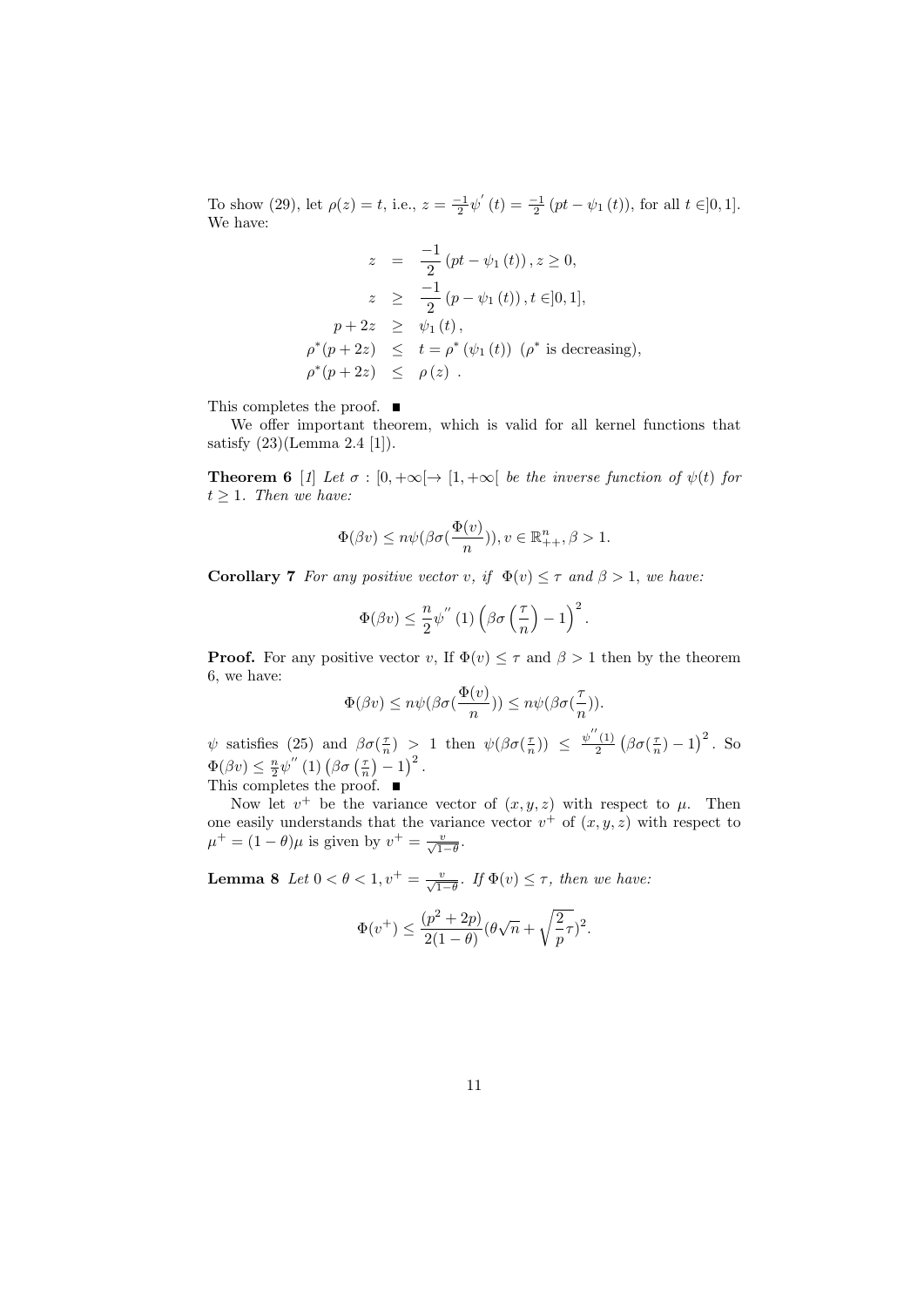To show (29), let  $\rho(z) = t$ , i.e.,  $z = \frac{-1}{2} \psi'(t) = \frac{-1}{2} (pt - \psi_1(t))$ , for all  $t \in ]0,1]$ . We have:

$$
z = \frac{-1}{2} (pt - \psi_1(t)), z \ge 0,
$$
  
\n
$$
z \ge \frac{-1}{2} (p - \psi_1(t)), t \in ]0, 1],
$$
  
\n
$$
p + 2z \ge \psi_1(t),
$$
  
\n
$$
\rho^*(p + 2z) \le t = \rho^*(\psi_1(t)) (\rho^*) \text{ is decreasing},
$$
  
\n
$$
\rho^*(p + 2z) \le \rho(z).
$$

This completes the proof. ■

We offer important theorem, which is valid for all kernel functions that satisfy (23)(Lemma 2.4 [1]).

**Theorem 6** [1] Let  $\sigma : [0, +\infty[ \rightarrow [1, +\infty[$  be the inverse function of  $\psi(t)$  for  $t > 1$ . Then we have:

$$
\Phi(\beta v) \le n\psi(\beta \sigma(\frac{\Phi(v)}{n})), v \in \mathbb{R}_{++}^n, \beta > 1.
$$

**Corollary 7** For any positive vector v, if  $\Phi(v) \leq \tau$  and  $\beta > 1$ , we have:

$$
\Phi(\beta v) \leq \frac{n}{2} \psi^{''}(1) \left(\beta \sigma\left(\frac{\tau}{n}\right) - 1\right)^2.
$$

**Proof.** For any positive vector v, If  $\Phi(v) \leq \tau$  and  $\beta > 1$  then by the theorem 6, we have:

$$
\Phi(\beta v) \le n\psi(\beta \sigma(\frac{\Phi(v)}{n})) \le n\psi(\beta \sigma(\frac{\tau}{n})).
$$

 $\psi$  satisfies (25) and  $\beta\sigma(\frac{\tau}{n}) > 1$  then  $\psi(\beta\sigma(\frac{\tau}{n})) \leq \frac{\psi''(1)}{2}$  $\frac{1}{2}$   $\left(\beta\sigma(\frac{\tau}{n})-1\right)^2$ . So  $\Phi(\beta v) \leq \frac{n}{2} \psi''(1) (\beta \sigma(\frac{\tau}{n}) - 1)^2.$ 

This completes the proof.

Now let  $v^+$  be the variance vector of  $(x, y, z)$  with respect to  $\mu$ . Then one easily understands that the variance vector  $v^+$  of  $(x, y, z)$  with respect to  $\mu^+ = (1 - \theta)\mu$  is given by  $v^+ = \frac{v}{\sqrt{1 - \theta}}$ .

**Lemma 8** Let  $0 < \theta < 1$ ,  $v^+ = \frac{v}{\sqrt{1-\theta}}$ . If  $\Phi(v) \leq \tau$ , then we have:

$$
\Phi(v^+)\leq \frac{(p^2+2p)}{2(1-\theta)}(\theta\sqrt{n}+\sqrt{\frac{2}{p}}\tau)^2.
$$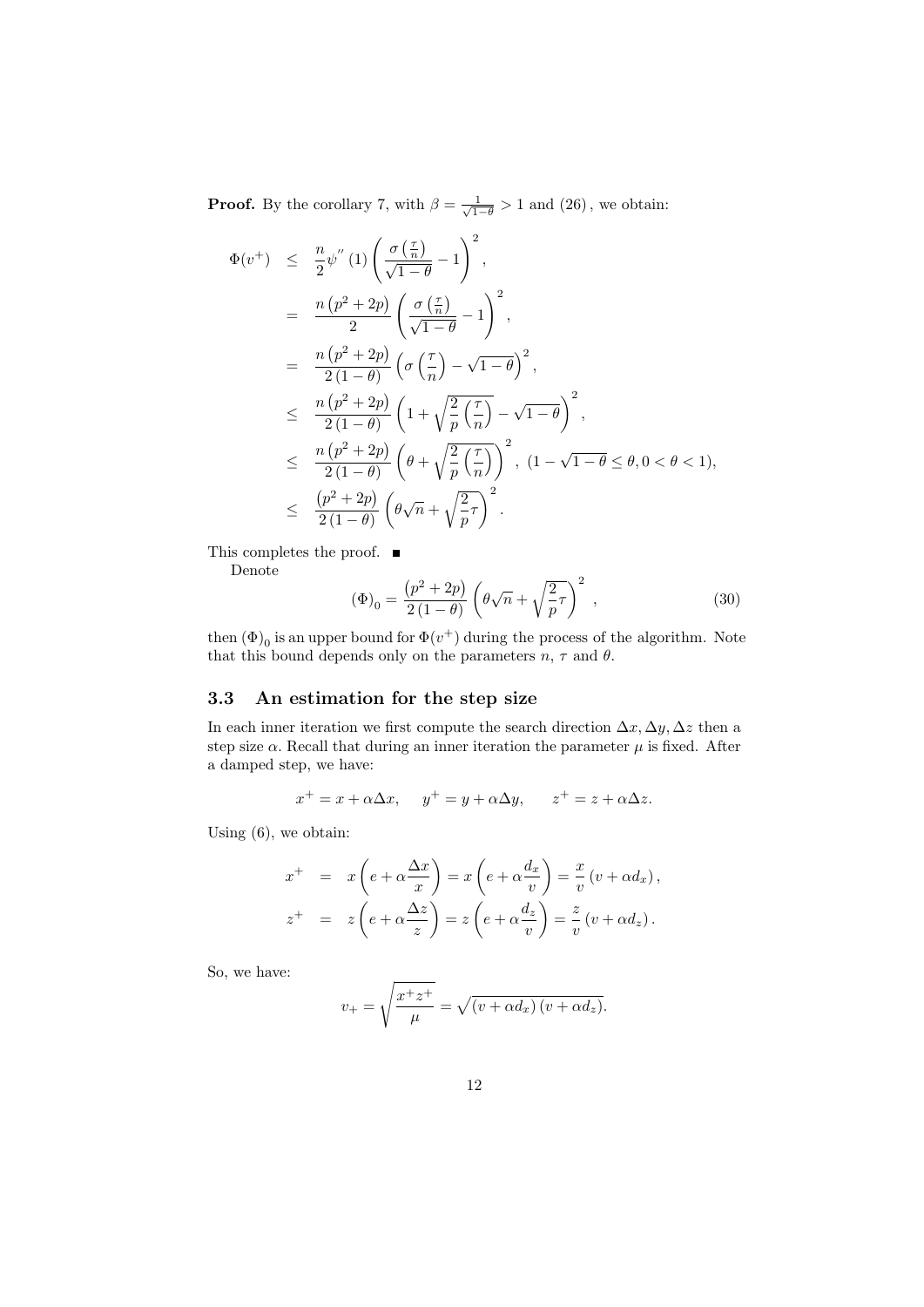**Proof.** By the corollary 7, with  $\beta = \frac{1}{\sqrt{1}}$  $\frac{1}{1-\theta} > 1$  and  $(26)$ , we obtain:

$$
\Phi(v^+) \leq \frac{n}{2} \psi''(1) \left( \frac{\sigma(\frac{\tau}{n})}{\sqrt{1-\theta}} - 1 \right)^2,
$$
  
\n
$$
= \frac{n(p^2 + 2p)}{2} \left( \frac{\sigma(\frac{\tau}{n})}{\sqrt{1-\theta}} - 1 \right)^2,
$$
  
\n
$$
= \frac{n(p^2 + 2p)}{2(1-\theta)} \left( \sigma(\frac{\tau}{n}) - \sqrt{1-\theta} \right)^2,
$$
  
\n
$$
\leq \frac{n(p^2 + 2p)}{2(1-\theta)} \left( 1 + \sqrt{\frac{2}{p}} \left( \frac{\tau}{n} \right) - \sqrt{1-\theta} \right)^2,
$$
  
\n
$$
\leq \frac{n(p^2 + 2p)}{2(1-\theta)} \left( \theta + \sqrt{\frac{2}{p}} \left( \frac{\tau}{n} \right) \right)^2, (1 - \sqrt{1-\theta} \le \theta, 0 < \theta < 1),
$$
  
\n
$$
\leq \frac{(p^2 + 2p)}{2(1-\theta)} \left( \theta \sqrt{n} + \sqrt{\frac{2}{p}} \tau \right)^2.
$$

This completes the proof.  $\blacksquare$ 

Denote

$$
(\Phi)_0 = \frac{(p^2 + 2p)}{2(1 - \theta)} \left( \theta \sqrt{n} + \sqrt{\frac{2}{p}} \tau \right)^2 ,
$$
 (30)

then  $(\Phi)_0$  is an upper bound for  $\Phi(v^+)$  during the process of the algorithm. Note that this bound depends only on the parameters  $n, \tau$  and  $\theta$ .

## 3.3 An estimation for the step size

In each inner iteration we first compute the search direction  $\Delta x, \Delta y, \Delta z$  then a step size  $\alpha$ . Recall that during an inner iteration the parameter  $\mu$  is fixed. After a damped step, we have:

$$
x^+ = x + \alpha \Delta x
$$
,  $y^+ = y + \alpha \Delta y$ ,  $z^+ = z + \alpha \Delta z$ .

Using (6), we obtain:

$$
x^{+} = x \left(e + \alpha \frac{\Delta x}{x}\right) = x \left(e + \alpha \frac{d_{x}}{v}\right) = \frac{x}{v} \left(v + \alpha d_{x}\right),
$$
  

$$
z^{+} = z \left(e + \alpha \frac{\Delta z}{z}\right) = z \left(e + \alpha \frac{d_{z}}{v}\right) = \frac{z}{v} \left(v + \alpha d_{z}\right).
$$

So, we have:

$$
v_{+} = \sqrt{\frac{x^{+}z^{+}}{\mu}} = \sqrt{(v + \alpha d_{x})(v + \alpha d_{z})}.
$$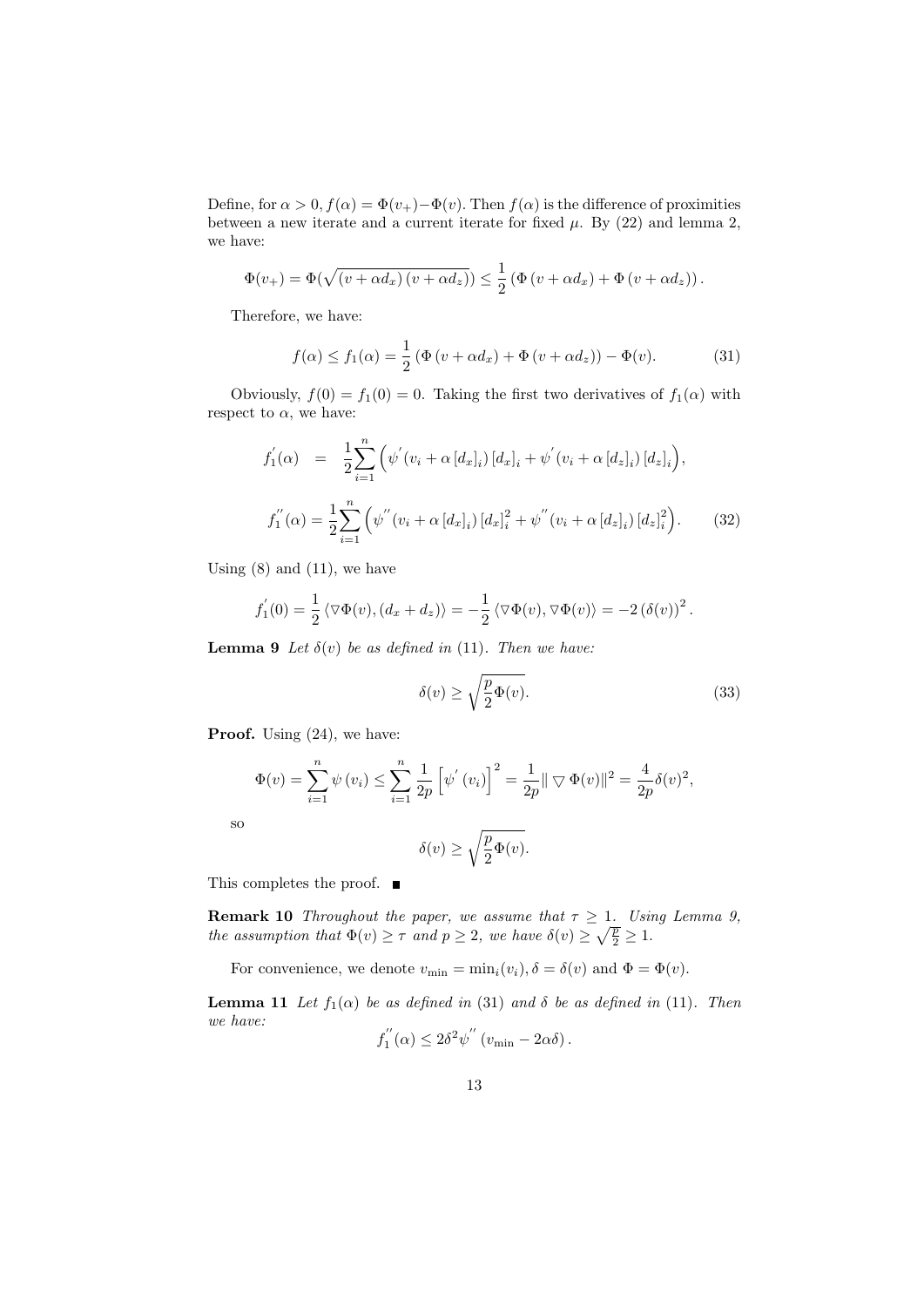Define, for  $\alpha > 0$ ,  $f(\alpha) = \Phi(v_+) - \Phi(v)$ . Then  $f(\alpha)$  is the difference of proximities between a new iterate and a current iterate for fixed  $\mu$ . By (22) and lemma 2, we have:

$$
\Phi(v_+) = \Phi(\sqrt{(v + \alpha d_x)(v + \alpha d_z)}) \leq \frac{1}{2} \left( \Phi(v + \alpha d_x) + \Phi(v + \alpha d_z) \right).
$$

Therefore, we have:

$$
f(\alpha) \le f_1(\alpha) = \frac{1}{2} \left( \Phi(v + \alpha d_x) + \Phi(v + \alpha d_z) \right) - \Phi(v). \tag{31}
$$

Obviously,  $f(0) = f_1(0) = 0$ . Taking the first two derivatives of  $f_1(\alpha)$  with respect to  $\alpha$ , we have:

$$
f_1^{'}(\alpha) = \frac{1}{2} \sum_{i=1}^{n} \left( \psi^{'}(v_i + \alpha [d_x]_i) [d_x]_i + \psi^{'}(v_i + \alpha [d_x]_i) [d_x]_i \right),
$$
  

$$
f_1^{''}(\alpha) = \frac{1}{2} \sum_{i=1}^{n} \left( \psi^{''}(v_i + \alpha [d_x]_i) [d_x]_i^2 + \psi^{''}(v_i + \alpha [d_x]_i) [d_x]_i^2 \right).
$$
 (32)

Using  $(8)$  and  $(11)$ , we have

$$
f_1^{'}(0) = \frac{1}{2} \langle \nabla \Phi(v), (d_x + d_z) \rangle = -\frac{1}{2} \langle \nabla \Phi(v), \nabla \Phi(v) \rangle = -2 (\delta(v))^2.
$$

**Lemma 9** Let  $\delta(v)$  be as defined in (11). Then we have:

$$
\delta(v) \ge \sqrt{\frac{p}{2}\Phi(v)}.\tag{33}
$$

Proof. Using  $(24)$ , we have:

$$
\Phi(v) = \sum_{i=1}^{n} \psi(v_i) \le \sum_{i=1}^{n} \frac{1}{2p} \left[ \psi'(v_i) \right]^2 = \frac{1}{2p} || \nabla \Phi(v) ||^2 = \frac{4}{2p} \delta(v)^2,
$$
  

$$
\delta(v) \ge \sqrt{\frac{p}{2} \Phi(v)}.
$$

so

This completes the proof. ■

**Remark 10** Throughout the paper, we assume that  $\tau \geq 1$ . Using Lemma 9, the assumption that  $\Phi(v) \geq \tau$  and  $p \geq 2$ , we have  $\delta(v) \geq \sqrt{\frac{p}{2}} \geq 1$ .

For convenience, we denote  $v_{\min} = \min_i(v_i)$ ,  $\delta = \delta(v)$  and  $\Phi = \Phi(v)$ .

**Lemma 11** Let  $f_1(\alpha)$  be as defined in (31) and  $\delta$  be as defined in (11). Then we have:  $\overline{\mathcal{U}}$ 29 W

$$
f_1^{''}(\alpha) \le 2\delta^2 \psi^{''}(v_{\min} - 2\alpha\delta).
$$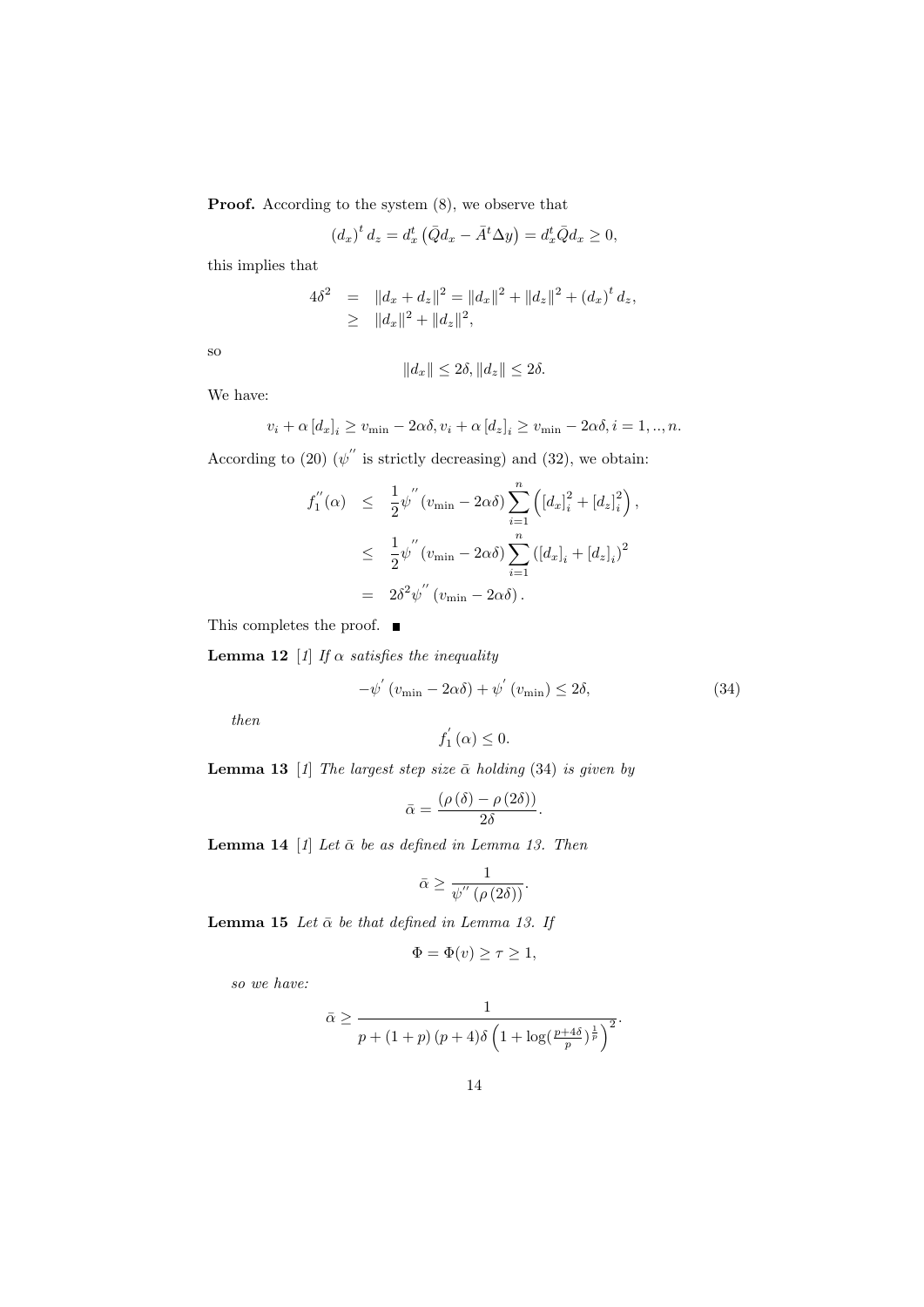Proof. According to the system  $(8)$ , we observe that

$$
\left(d_x\right)^t d_z = d_x^t \left(\bar{Q}d_x - \bar{A}^t \Delta y\right) = d_x^t \bar{Q}d_x \ge 0,
$$

this implies that

$$
4\delta^2 = ||d_x + d_z||^2 = ||d_x||^2 + ||d_z||^2 + (d_x)^t d_z,
$$
  
\n
$$
\geq ||d_x||^2 + ||d_z||^2,
$$

so

$$
||d_x|| \le 2\delta, ||d_z|| \le 2\delta.
$$

We have:

$$
v_i + \alpha [d_x]_i \ge v_{\min} - 2\alpha \delta, v_i + \alpha [d_z]_i \ge v_{\min} - 2\alpha \delta, i = 1, ..., n.
$$

According to (20)  $(\psi'')$  is strictly decreasing) and (32), we obtain:

$$
f_1''(\alpha) \leq \frac{1}{2} \psi''(v_{\min} - 2\alpha \delta) \sum_{i=1}^n \left( [d_x]_i^2 + [d_z]_i^2 \right),
$$
  

$$
\leq \frac{1}{2} \psi''(v_{\min} - 2\alpha \delta) \sum_{i=1}^n \left( [d_x]_i + [d_z]_i \right)^2
$$
  

$$
= 2\delta^2 \psi''(v_{\min} - 2\alpha \delta).
$$

This completes the proof.  $\blacksquare$ 

**Lemma 12** [1] If  $\alpha$  satisfies the inequality

$$
-\psi'(v_{\min} - 2\alpha\delta) + \psi'(v_{\min}) \le 2\delta,
$$
\n(34)

then

$$
f_{1}^{'}\left(\alpha\right) \leq 0.
$$

**Lemma 13** [1] The largest step size  $\bar{\alpha}$  holding (34) is given by

$$
\bar{\alpha}=\frac{\left(\rho\left(\delta\right)-\rho\left(2\delta\right)\right)}{2\delta}.
$$

**Lemma 14** [1] Let  $\bar{\alpha}$  be as defined in Lemma 13. Then

$$
\bar{\alpha} \ge \frac{1}{\psi^{''}\left(\rho\left(2\delta\right)\right)}.
$$

Lemma 15 Let  $\bar{\alpha}$  be that defined in Lemma 13. If

$$
\Phi = \Phi(v) \ge \tau \ge 1,
$$

so we have:

$$
\bar{\alpha} \ge \frac{1}{p + (1+p)(p+4)\delta \left(1 + \log\left(\frac{p+4\delta}{p}\right)^{\frac{1}{p}}\right)^2}.
$$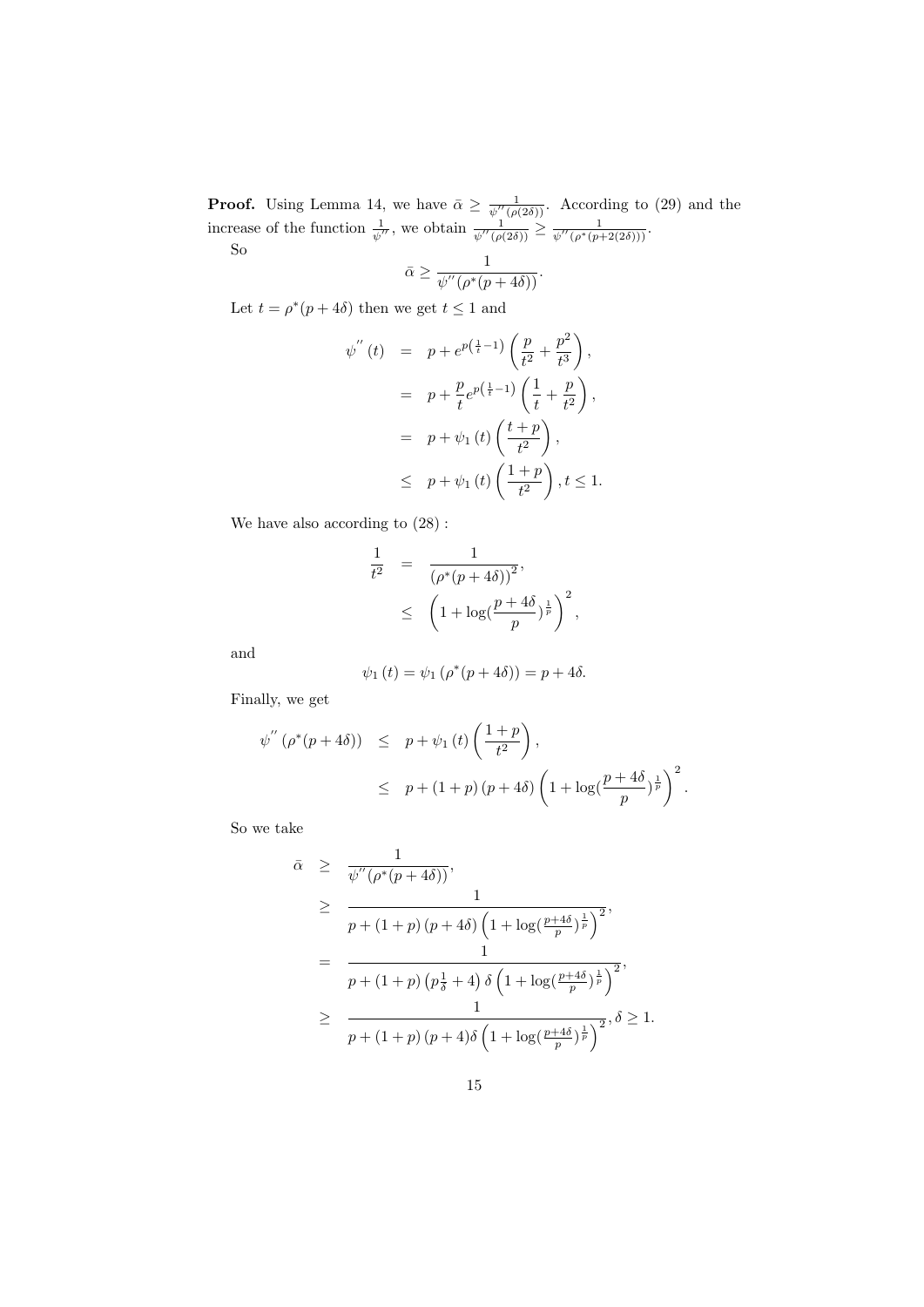**Proof.** Using Lemma 14, we have  $\bar{\alpha} \geq \frac{1}{\sqrt{n}}$  $\frac{1}{\psi''(\rho(2\delta))}$ . According to (29) and the increase of the function  $\frac{1}{\psi''}$ , we obtain  $\frac{1}{\psi''(\rho(2\delta))} \geq \frac{1}{\psi''(\rho^*(p-\delta))}$  $\frac{1}{\psi''(\rho^*(p+2(2\delta)))}$ . So  $\overline{\phantom{a}}$   $\overline{\phantom{a}}$   $\overline{\phantom{a}}$   $\overline{\phantom{a}}$   $\overline{\phantom{a}}$   $\overline{\phantom{a}}$   $\overline{\phantom{a}}$   $\overline{\phantom{a}}$   $\overline{\phantom{a}}$   $\overline{\phantom{a}}$   $\overline{\phantom{a}}$   $\overline{\phantom{a}}$   $\overline{\phantom{a}}$   $\overline{\phantom{a}}$   $\overline{\phantom{a}}$   $\overline{\phantom{a}}$   $\overline{\phantom{a}}$   $\overline{\phantom{a}}$   $\$ 

$$
\bar{\alpha} \ge \frac{1}{\psi''(\rho^*(p+4\delta))}.
$$

Let  $t = \rho^*(p + 4\delta)$  then we get  $t \leq 1$  and

$$
\psi''(t) = p + e^{p(\frac{1}{t}-1)} \left( \frac{p}{t^2} + \frac{p^2}{t^3} \right),
$$
  
\n
$$
= p + \frac{p}{t} e^{p(\frac{1}{t}-1)} \left( \frac{1}{t} + \frac{p}{t^2} \right),
$$
  
\n
$$
= p + \psi_1(t) \left( \frac{t+p}{t^2} \right),
$$
  
\n
$$
\leq p + \psi_1(t) \left( \frac{1+p}{t^2} \right), t \leq 1.
$$

We have also according to (28) :

$$
\frac{1}{t^2} = \frac{1}{(\rho^*(p+4\delta))^2},
$$
  
 
$$
\leq \left(1 + \log\left(\frac{p+4\delta}{p}\right)^{\frac{1}{p}}\right)^2,
$$

and

$$
\psi_1(t) = \psi_1(\rho^*(p+4\delta)) = p + 4\delta.
$$

Finally, we get

$$
\psi''\left(\rho^*(p+4\delta)\right) \leq p + \psi_1\left(t\right) \left(\frac{1+p}{t^2}\right),
$$
  

$$
\leq p + (1+p)\left(p+4\delta\right) \left(1 + \log\left(\frac{p+4\delta}{p}\right)^{\frac{1}{p}}\right)^2.
$$

So we take

$$
\bar{\alpha} \geq \frac{1}{\psi''(\rho^*(p+4\delta))},
$$
\n
$$
\geq \frac{1}{p + (1+p)(p+4\delta)\left(1 + \log\left(\frac{p+4\delta}{p}\right)^{\frac{1}{p}}\right)^2},
$$
\n
$$
= \frac{1}{p + (1+p)(p\frac{1}{\delta} + 4)\delta\left(1 + \log\left(\frac{p+4\delta}{p}\right)^{\frac{1}{p}}\right)^2},
$$
\n
$$
\geq \frac{1}{p + (1+p)(p+4)\delta\left(1 + \log\left(\frac{p+4\delta}{p}\right)^{\frac{1}{p}}\right)^2}, \delta \geq 1.
$$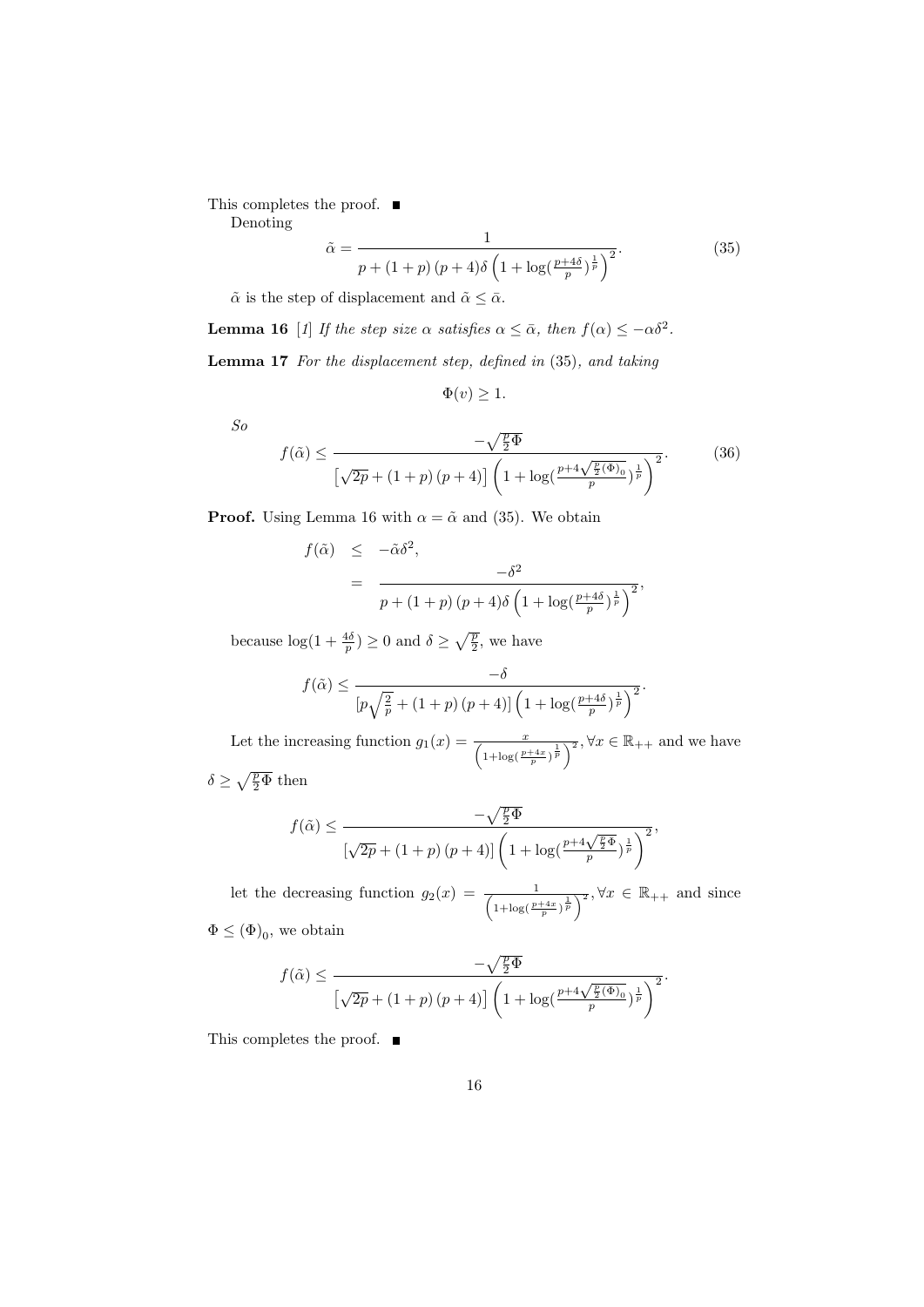This completes the proof.  $\blacksquare$ 

Denoting

$$
\tilde{\alpha} = \frac{1}{p + (1+p)(p+4)\delta \left(1 + \log\left(\frac{p+4\delta}{p}\right)^{\frac{1}{p}}\right)^2}.
$$
\n(35)

 $\tilde{\alpha}$  is the step of displacement and  $\tilde{\alpha} \leq \bar{\alpha}$ .

**Lemma 16** [1] If the step size  $\alpha$  satisfies  $\alpha \leq \bar{\alpha}$ , then  $f(\alpha) \leq -\alpha \delta^2$ .

Lemma 17 For the displacement step, defined in (35), and taking

 $\Phi(v) \geq 1.$ 

So

$$
f(\tilde{\alpha}) \le \frac{-\sqrt{\frac{p}{2}\Phi}}{\left[\sqrt{2p} + (1+p)(p+4)\right] \left(1 + \log\left(\frac{p+4\sqrt{\frac{p}{2}(\Phi)}_0}{p}\right)^{\frac{1}{p}}\right)^2}.
$$
(36)

**Proof.** Using Lemma 16 with  $\alpha = \tilde{\alpha}$  and (35). We obtain

$$
f(\tilde{\alpha}) \leq -\tilde{\alpha}\delta^2,
$$
  
= 
$$
\frac{-\delta^2}{p + (1+p)(p+4)\delta \left(1 + \log(\frac{p+4\delta}{p})^{\frac{1}{p}}\right)^2},
$$

because  $\log(1+\frac{4\delta}{p}) \geq 0$  and  $\delta \geq \sqrt{\frac{p}{2}}$ , we have

$$
f(\tilde{\alpha}) \le \frac{-\delta}{\left[p\sqrt{\frac{2}{p}} + (1+p)(p+4)\right]\left(1 + \log(\frac{p+4\delta}{p})^{\frac{1}{p}}\right)^2}.
$$

Let the increasing function  $g_1(x) = \frac{x}{\left(1 + \log(\frac{p+4x}{p})^{\frac{1}{p}}\right)^2}$ ,  $\forall x \in \mathbb{R}_{++}$  and we have  $\delta \geq \sqrt{\frac{p}{2}\Phi}$  then

$$
f(\tilde{\alpha}) \le \frac{-\sqrt{\frac{p}{2}\Phi}}{\left[\sqrt{2p} + (1+p)(p+4)\right]\left(1 + \log\left(\frac{p+4\sqrt{\frac{p}{2}\Phi}}{p}\right)^{\frac{1}{p}}\right)^2},
$$

let the decreasing function  $g_2(x) = \frac{1}{\left(1 + \log(\frac{p+4x}{p})^{\frac{1}{p}}\right)^2}$ ,  $\forall x \in \mathbb{R}_{++}$  and since  $\Phi \le (\Phi)_0$ , we obtain

$$
f(\tilde{\alpha}) \le \frac{-\sqrt{\frac{p}{2}\Phi}}{\left[\sqrt{2p} + (1+p)(p+4)\right]\left(1 + \log\left(\frac{p+4\sqrt{\frac{p}{2}(\Phi)}_0}{p}\right)^{\frac{1}{p}}\right)^2}.
$$

This completes the proof.  $\blacksquare$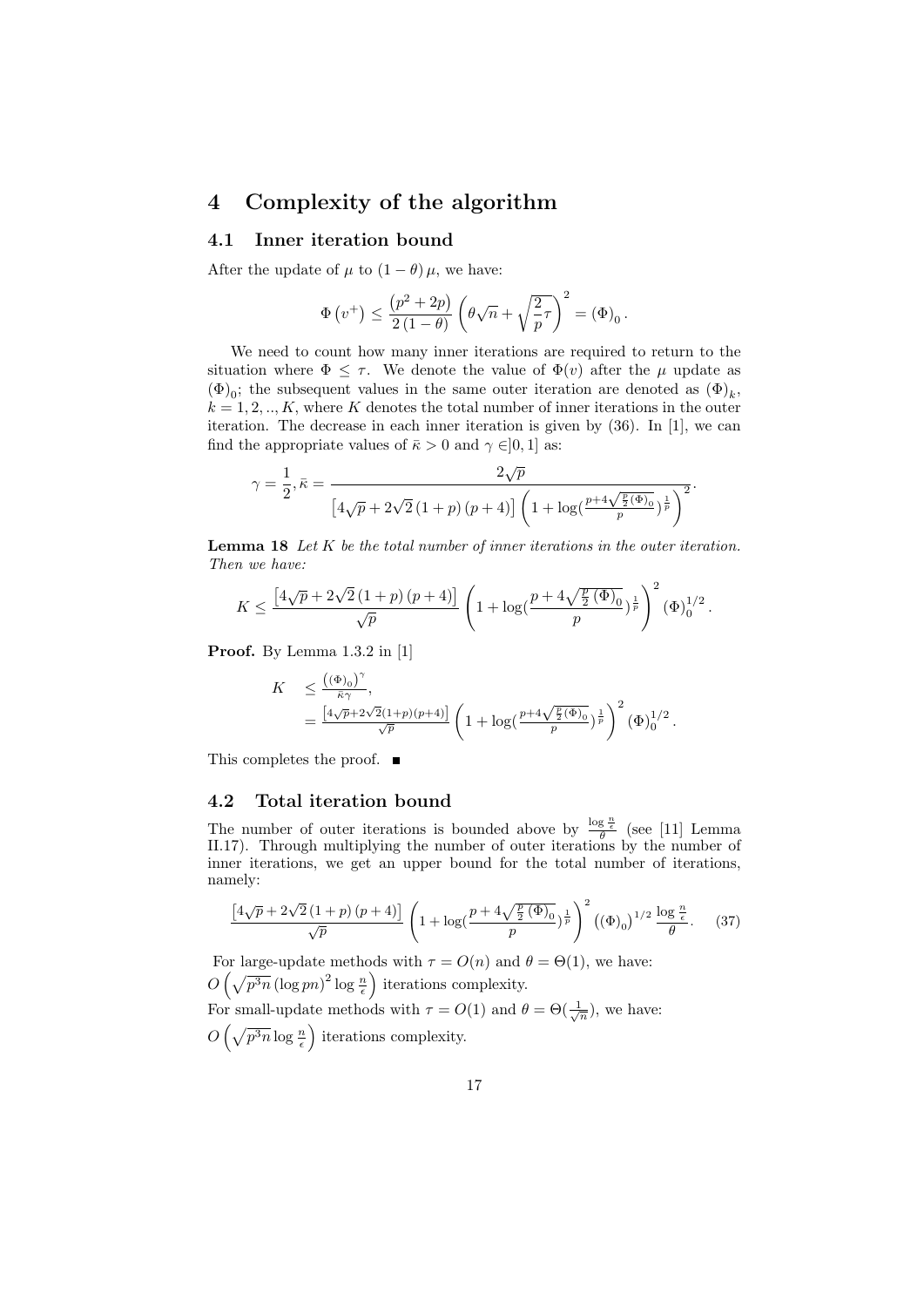## 4 Complexity of the algorithm

#### 4.1 Inner iteration bound

After the update of  $\mu$  to  $(1 - \theta) \mu$ , we have:

$$
\Phi(v^+) \le \frac{(p^2+2p)}{2(1-\theta)} \left(\theta\sqrt{n} + \sqrt{\frac{2}{p}}\tau\right)^2 = (\Phi)_0.
$$

We need to count how many inner iterations are required to return to the situation where  $\Phi \leq \tau$ . We denote the value of  $\Phi(v)$  after the  $\mu$  update as  $(\Phi)_0$ ; the subsequent values in the same outer iteration are denoted as  $(\Phi)_k$ ,  $k = 1, 2, \ldots, K$ , where K denotes the total number of inner iterations in the outer iteration. The decrease in each inner iteration is given by (36). In [1], we can find the appropriate values of  $\bar{\kappa} > 0$  and  $\gamma \in ]0,1]$  as:

$$
\gamma = \frac{1}{2}, \bar{\kappa} = \frac{2\sqrt{p}}{\left[4\sqrt{p} + 2\sqrt{2}\left(1+p\right)\left(p+4\right)\right]\left(1+\log(\frac{p+4\sqrt{\frac{p}{2}(\Phi)}_0}{p})^{\frac{1}{p}}\right)^2}.
$$

Lemma 18 Let K be the total number of inner iterations in the outer iteration. Then we have:

$$
K \le \frac{\left[4\sqrt{p} + 2\sqrt{2}\left(1+p\right)\left(p+4\right)\right]}{\sqrt{p}} \left(1 + \log\left(\frac{p + 4\sqrt{\frac{p}{2}\left(\Phi\right)_0}}{p}\right)^{\frac{1}{p}}\right)^2 \left(\Phi\right)_0^{1/2}.
$$

Proof. By Lemma 1.3.2 in [1]

$$
K \leq \frac{((\Phi)_0)^{\gamma}}{\bar{\kappa}\gamma},
$$
  
=  $\frac{[4\sqrt{p}+2\sqrt{2}(1+p)(p+4)]}{\sqrt{p}} \left(1+\log(\frac{p+4\sqrt{\frac{p}{2}(\Phi)_0}}{p})^{\frac{1}{p}}\right)^2 (\Phi)_0^{1/2}.$ 

This completes the proof. ■

#### 4.2 Total iteration bound

The number of outer iterations is bounded above by  $\frac{\log \frac{n}{e}}{\theta}$  (see [11] Lemma II.17). Through multiplying the number of outer iterations by the number of inner iterations, we get an upper bound for the total number of iterations, namely:

$$
\frac{\left[4\sqrt{p}+2\sqrt{2}\left(1+p\right)\left(p+4\right)\right]}{\sqrt{p}}\left(1+\log\left(\frac{p+4\sqrt{\frac{p}{2}\left(\Phi\right)_0}}{p}\right)^{\frac{1}{p}}\right)^2\left(\left(\Phi\right)_0\right)^{1/2}\frac{\log\frac{n}{\epsilon}}{\theta}.\tag{37}
$$

For large-update methods with  $\tau = O(n)$  and  $\theta = \Theta(1)$ , we have:  $O\left(\sqrt{p^3n}\left(\log{pn}\right)^2\log{\frac{n}{\epsilon}}\right)$  iterations complexity.

For small-update methods with  $\tau = O(1)$  and  $\theta = \Theta(\frac{1}{\sqrt{n}})$ , we have:

 $O\left(\sqrt{p^3n}\log\frac{n}{\epsilon}\right)$  iterations complexity.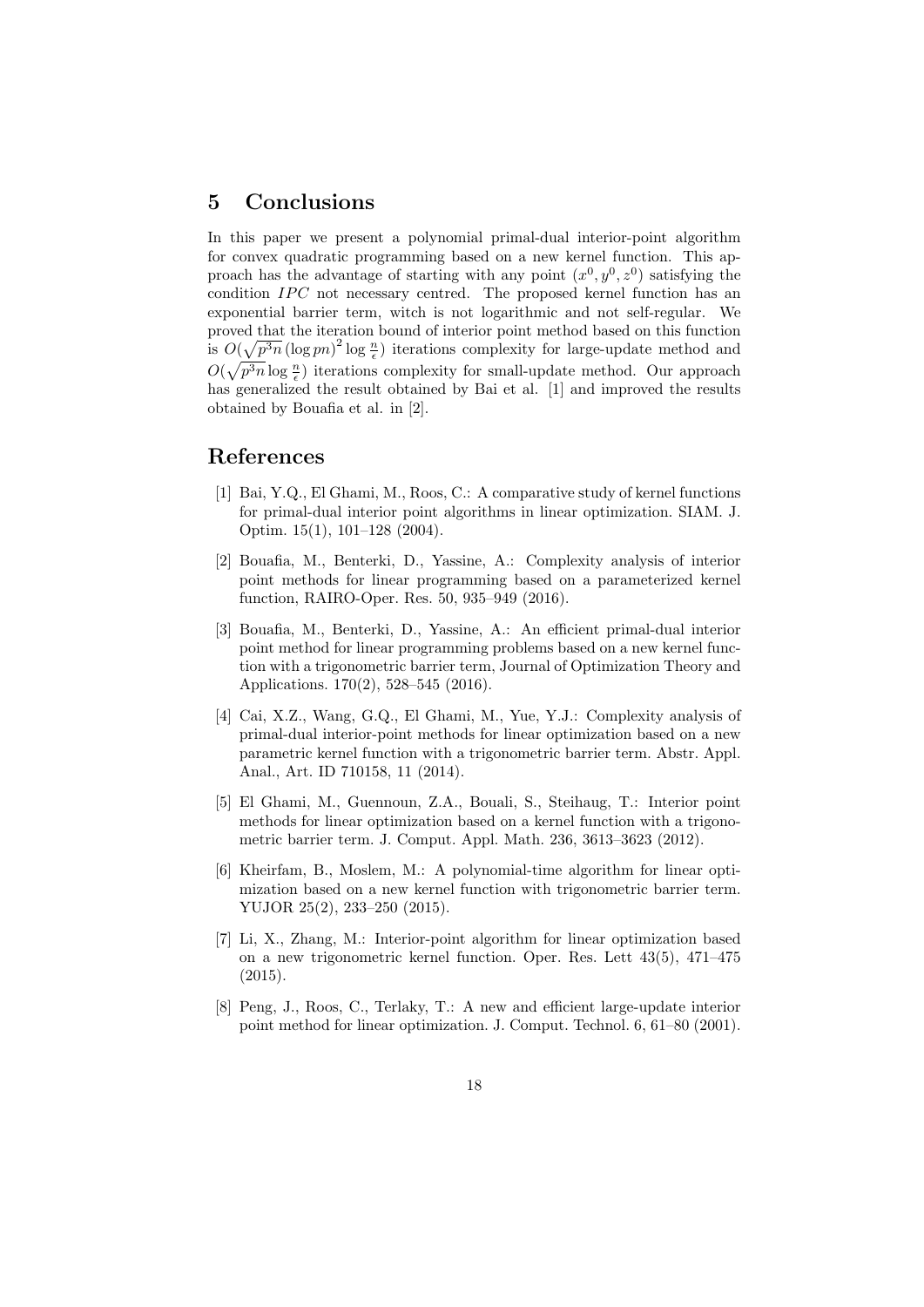# 5 Conclusions

In this paper we present a polynomial primal-dual interior-point algorithm for convex quadratic programming based on a new kernel function. This approach has the advantage of starting with any point  $(x^0, y^0, z^0)$  satisfying the condition  $IPC$  not necessary centred. The proposed kernel function has an exponential barrier term, witch is not logarithmic and not self-regular. We proved that the iteration bound of interior point method based on this function is  $O(\sqrt{p^3n}(\log pn)^2 \log \frac{n}{\epsilon})$  iterations complexity for large-update method and  $O(\sqrt{p^3n}\log\frac{n}{\epsilon})$  iterations complexity for small-update method. Our approach has generalized the result obtained by Bai et al. [1] and improved the results obtained by Bouafia et al. in [2].

# References

- [1] Bai, Y.Q., El Ghami, M., Roos, C.: A comparative study of kernel functions for primal-dual interior point algorithms in linear optimization. SIAM. J. Optim. 15(1), 101–128 (2004).
- [2] Bouafia, M., Benterki, D., Yassine, A.: Complexity analysis of interior point methods for linear programming based on a parameterized kernel function, RAIRO-Oper. Res. 50, 935–949 (2016).
- [3] Bouafia, M., Benterki, D., Yassine, A.: An efficient primal-dual interior point method for linear programming problems based on a new kernel function with a trigonometric barrier term, Journal of Optimization Theory and Applications. 170(2), 528–545 (2016).
- [4] Cai, X.Z., Wang, G.Q., El Ghami, M., Yue, Y.J.: Complexity analysis of primal-dual interior-point methods for linear optimization based on a new parametric kernel function with a trigonometric barrier term. Abstr. Appl. Anal., Art. ID 710158, 11 (2014).
- [5] El Ghami, M., Guennoun, Z.A., Bouali, S., Steihaug, T.: Interior point methods for linear optimization based on a kernel function with a trigonometric barrier term. J. Comput. Appl. Math. 236, 3613–3623 (2012).
- [6] Kheirfam, B., Moslem, M.: A polynomial-time algorithm for linear optimization based on a new kernel function with trigonometric barrier term. YUJOR 25(2), 233–250 (2015).
- [7] Li, X., Zhang, M.: Interior-point algorithm for linear optimization based on a new trigonometric kernel function. Oper. Res. Lett 43(5), 471–475 (2015).
- [8] Peng, J., Roos, C., Terlaky, T.: A new and efficient large-update interior point method for linear optimization. J. Comput. Technol. 6, 61–80 (2001).